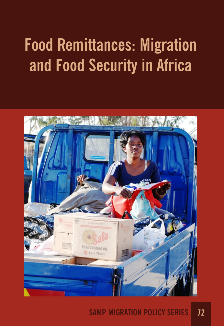# **Food Remittances: Migration and Food Security in Africa**



# **SAMP MIGRATION POLICY SERIES 72**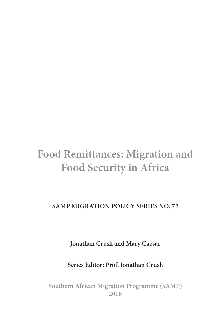# **Food Remittances: Migration and Food Security in Africa**

**SAMP MIGRATION POLICY SERIES NO. 72**

**Jonathan Crush and Mary Caesar**

**Series Editor: Prof. Jonathan Crush**

**Southern African Migration Programme (SAMP) 2016**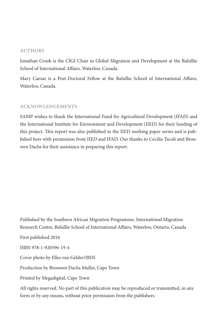#### **AUTHORS**

Jonathan Crush is the CIGI Chair in Global Migration and Development at the Balsillie School of International Affairs, Waterloo, Canada.

Mary Caesar is a Post-Doctoral Fellow at the Balsillie School of International Affairs, Waterloo, Canada.

#### **ACKNOWLEDGEMENTS**

SAMP wishes to thank the International Fund for Agricultural Development (IFAD) and the International Institute for Environment and Development (IIED) for their funding of this project. This report was also published in the IIED working paper series and is published here with permission from IIED and IFAD. Our thanks to Cecilia Tacoli and Bronwen Dachs for their assistance in preparing this report.

Published by the Southern African Migration Programme, International Migration Research Centre, Balsillie School of International A!airs, Waterloo, Ontario, Canada First published 2016 ISBN 978-1-920596-19-4 Cover photo by Elles van Gelder/IRIN Production by Bronwen Dachs Muller, Cape Town Printed by Megadigital, Cape Town All rights reserved. No part of this publication may be reproduced or transmitted, in any form or by any means, without prior permission from the publishers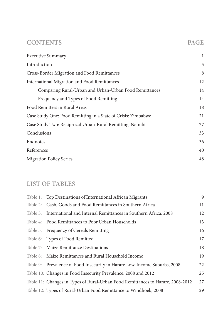# **CONTENTS PAGE**

| <b>Executive Summary</b>                                      | 1  |
|---------------------------------------------------------------|----|
| Introduction                                                  | 5  |
| Cross-Border Migration and Food Remittances                   | 8  |
| International Migration and Food Remittances                  | 12 |
| Comparing Rural-Urban and Urban-Urban Food Remittances        | 14 |
| Frequency and Types of Food Remitting                         | 14 |
| Food Remitters in Rural Areas                                 | 18 |
| Case Study One: Food Remitting in a State of Crisis: Zimbabwe | 21 |
| Case Study Two: Reciprocal Urban-Rural Remitting: Namibia     | 27 |
| Conclusions                                                   | 33 |
| Endnotes                                                      | 36 |
| References                                                    | 40 |
| <b>Migration Policy Series</b>                                | 48 |
|                                                               |    |

# **LIST OF TABLES**

|          | Table 1: Top Destinations of International African Migrants                     | 9  |
|----------|---------------------------------------------------------------------------------|----|
| Table 2: | Cash, Goods and Food Remittances in Southern Africa                             | 11 |
| Table 3: | International and Internal Remittances in Southern Africa, 2008                 | 12 |
| Table 4: | Food Remittances to Poor Urban Households                                       | 13 |
| Table 5: | Frequency of Cereals Remitting                                                  | 16 |
|          | Table 6: Types of Food Remitted                                                 | 17 |
| Table 7: | Maize Remittance Destinations                                                   | 18 |
| Table 8: | Maize Remittances and Rural Household Income                                    | 19 |
|          | Table 9: Prevalence of Food Insecurity in Harare Low-Income Suburbs, 2008       | 22 |
|          | Table 10: Changes in Food Insecurity Prevalence, 2008 and 2012                  | 25 |
|          | Table 11: Changes in Types of Rural-Urban Food Remittances to Harare, 2008-2012 | 27 |
|          | Table 12: Types of Rural-Urban Food Remittance to Windhoek, 2008                | 29 |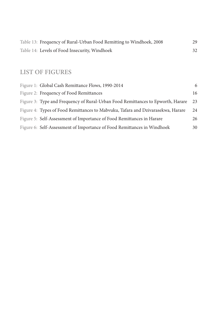| Table 13: Frequency of Rural-Urban Food Remitting to Windhoek, 2008 |  |
|---------------------------------------------------------------------|--|
| Table 14: Levels of Food Insecurity, Windhoek                       |  |

# **LIST OF FIGURES**

| Figure 1: Global Cash Remittance Flows, 1990-2014                               | 6  |
|---------------------------------------------------------------------------------|----|
| Figure 2: Frequency of Food Remittances                                         | 16 |
| Figure 3: Type and Frequency of Rural-Urban Food Remittances to Epworth, Harare | 23 |
| Figure 4: Types of Food Remittances to Mabvuku, Tafara and Dzivarasekwa, Harare | 24 |
| Figure 5: Self-Assessment of Importance of Food Remittances in Harare           | 26 |
| Figure 6: Self-Assessment of Importance of Food Remittances in Windhoek         | 30 |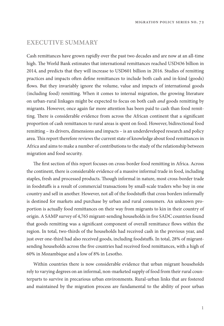# **EXECUTIVE SUMMARY**

Cash remittances have grown rapidly over the past two decades and are now at an all-time high. The World Bank estimates that international remittances reached USD436 billion in 2014, and predicts that they will increase to USD601 billion in 2016. Studies of remitting practices and impacts often define remittances to include both cash and in-kind (goods) flows. But they invariably ignore the volume, value and impacts of international goods (including food) remitting. When it comes to internal migration, the growing literature on urban-rural linkages might be expected to focus on both cash and goods remitting by migrants. However, once again far more attention has been paid to cash than food remitting. There is considerable evidence from across the African continent that a significant proportion of cash remittances to rural areas is spent on food. However, bidirectional food remitting – its drivers, dimensions and impacts – is an underdeveloped research and policy area. This report therefore reviews the current state of knowledge about food remittances in Africa and aims to make a number of contributions to the study of the relationship between migration and food security.

The first section of this report focuses on cross-border food remitting in Africa. Across the continent, there is considerable evidence of a massive informal trade in food, including staples, fresh and processed products. Though informal in nature, most cross-border trade in foodstuffs is a result of commercial transactions by small-scale traders who buy in one country and sell in another. However, not all of the foodstuffs that cross borders informally is destined for markets and purchase by urban and rural consumers. An unknown proportion is actually food remittances on their way from migrants to kin in their country of origin. A SAMP survey of 4,765 migrant-sending households in five SADC countries found that goods remitting was a significant component of overall remittance flows within the region. In total, two-thirds of the households had received cash in the previous year, and just over one-third had also received goods, including foodstuffs. In total, 28% of migrantsending households across the five countries had received food remittances, with a high of 60% in Mozambique and a low of 8% in Lesotho.

Within countries there is now considerable evidence that urban migrant households rely to varying degrees on an informal, non-marketed supply of food from their rural counterparts to survive in precarious urban environments. Rural-urban links that are fostered and maintained by the migration process are fundamental to the ability of poor urban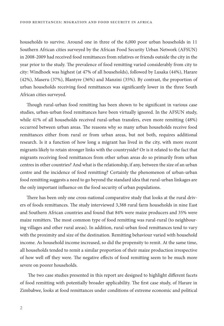households to survive. Around one in three of the 6,000 poor urban households in 11 Southern African cities surveyed by the African Food Security Urban Network (AFSUN) in 2008-2009 had received food remittances from relatives or friends outside the city in the year prior to the study. The prevalence of food remitting varied considerably from city to city: Windhoek was highest (at 47% of all households), followed by Lusaka (44%), Harare (42%), Maseru (37%), Blantyre (36%) and Manzini (35%). By contrast, the proportion of urban households receiving food remittances was significantly lower in the three South African cities surveyed.

Though rural-urban food remitting has been shown to be significant in various case studies, urban-urban food remittances have been virtually ignored. In the AFSUN study, while 41% of all households received rural-urban transfers, even more remitting (48%) occurred between urban areas. The reasons why so many urban households receive food remittances either from rural or from urban areas, but not both, requires additional research. Is it a function of how long a migrant has lived in the city, with more recent migrants likely to retain stronger links with the countryside? Or is it related to the fact that migrants receiving food remittances from other urban areas do so primarily from urban centres in other countries? And what is the relationship, if any, between the size of an urban centre and the incidence of food remitting? Certainly the phenomenon of urban-urban food remitting suggests a need to go beyond the standard idea that rural-urban linkages are the only important influence on the food security of urban populations.

There has been only one cross-national comparative study that looks at the rural drivers of foods remittances. The study interviewed 3,388 rural farm households in nine East and Southern African countries and found that 84% were maize producers and 35% were maize remitters. The most common type of food remitting was rural-rural (to neighbouring villages and other rural areas). In addition, rural-urban food remittances tend to vary with the proximity and size of the destination. Remitting behaviour varied with household income. As household income increased, so did the propensity to remit. At the same time, all households tended to remit a similar proportion of their maize production irrespective of how well off they were. The negative effects of food remitting seem to be much more severe on poorer households.

The two case studies presented in this report are designed to highlight different facets of food remitting with potentially broader applicability. The first case study, of Harare in Zimbabwe, looks at food remittances under conditions of extreme economic and political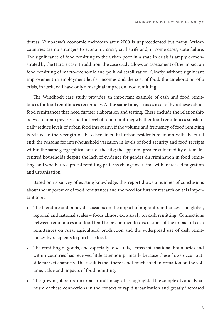duress. Zimbabwe's economic meltdown after 2000 is unprecedented but many African countries are no strangers to economic crisis, civil strife and, in some cases, state failure. The significance of food remitting to the urban poor in a state in crisis is amply demonstrated by the Harare case. In addition, the case study allows an assessment of the impact on food remitting of macro-economic and political stabilization. Clearly, without significant improvement in employment levels, incomes and the cost of food, the amelioration of a crisis, in itself, will have only a marginal impact on food remitting.

The Windhoek case study provides an important example of cash and food remittances for food remittances reciprocity. At the same time, it raises a set of hypotheses about food remittances that need further elaboration and testing. These include the relationship between urban poverty and the level of food remitting; whether food remittances substantially reduce levels of urban food insecurity; if the volume and frequency of food remitting is related to the strength of the other links that urban residents maintain with the rural end; the reasons for inter-household variation in levels of food security and food receipts within the same geographical area of the city; the apparent greater vulnerability of femalecentred households despite the lack of evidence for gender discrimination in food remitting; and whether reciprocal remitting patterns change over time with increased migration and urbanization.

Based on its survey of existing knowledge, this report draws a number of conclusions about the importance of food remittances and the need for further research on this important topic:

- The literature and policy discussions on the impact of migrant remittances on global, regional and national scales – focus almost exclusively on cash remitting. Connections between remittances and food tend to be confined to discussions of the impact of cash remittances on rural agricultural production and the widespread use of cash remittances by recipients to purchase food.
- The remitting of goods, and especially foodstuffs, across international boundaries and within countries has received little attention primarily because these flows occur outside market channels. The result is that there is not much solid information on the volume, value and impacts of food remitting.
- The growing literature on urban-rural linkages has highlighted the complexity and dynamism of these connections in the context of rapid urbanization and greatly increased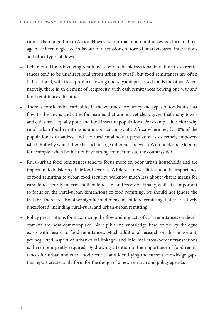rural-urban migration in Africa. However, informal food remittances as a form of linkage have been neglected in favour of discussions of formal, market-based interactions and other types of flows.

- Urban-rural links involving remittances tend to be bidirectional in nature. Cash remittances tend to be unidirectional (from urban to rural), but food remittances are often bidirectional, with fresh produce flowing one way and processed foods the other. Alternatively, there is an element of reciprocity, with cash remittances flowing one way and food remittances the other.
- There is considerable variability in the volumes, frequency and types of foodstuffs that flow to the towns and cities for reasons that are not yet clear, given that many towns and cities have equally poor and food insecure populations. For example, it is clear why rural-urban food remitting is unimportant in South Africa where nearly 70% of the population is urbanized and the rural smallholder population is extremely impoverished. But why would there be such a large difference between Windhoek and Maputo, for example, when both cities have strong connections to the countryside?
- Rural-urban food remittances tend to focus more on poor urban households and are important to bolstering their food security. While we know a little about the importance of food remitting to urban food security, we know much less about what it means for rural food security in terms both of food sent and received. Finally, while it is important to focus on the rural-urban dimensions of food remitting, we should not ignore the fact that there are also other significant dimensions of food remitting that are relatively unexplored, including rural-rural and urban-urban remitting.
- Policy prescriptions for maximizing the flow and impacts of cash remittances on development are now commonplace. No equivalent knowledge base or policy dialogue exists with regard to food remittances. Much additional research on this important, yet neglected, aspect of urban-rural linkages and informal cross-border transactions is therefore urgently required. By drawing attention to the importance of food remittances for urban and rural food security and identifying the current knowledge gaps, this report creates a platform for the design of a new research and policy agenda.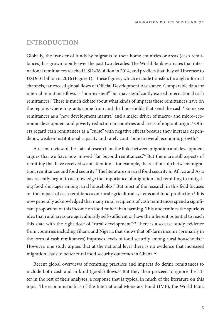# **INTRODUCTION**

Globally, the transfer of funds by migrants to their home countries or areas (cash remittances) has grown rapidly over the past two decades. The World Bank estimates that international remittances reached USD436 billion in 2014, and predicts that they will increase to USD601 billion in 2016 (Figure 1).<sup>1</sup> These figures, which exclude transfers through informal channels, far exceed global flows of Official Development Assistance. Comparable data for internal remittance flows is "non-existent" but may significantly exceed international cash remittances.<sup>2</sup> There is much debate about what kinds of impacts these remittances have on the regions where migrants come from and the households that send the cash.<sup>3</sup> Some see remittances as a "new development mantra" and a major driver of macro- and micro-economic development and poverty reduction in countries and areas of migrant origin.<sup>4</sup> Others regard cash remittances as a "curse" with negative effects because they increase dependency, weaken institutional capacity and rarely contribute to overall economic growth.<sup>5</sup>

A recent review of the state of research on the links between migration and development argues that we have now moved "far beyond remittances."6 But there are still aspects of remitting that have received scant attention – for example, the relationship between migration, remittances and food security.<sup>7</sup> The literature on rural food security in Africa and Asia has recently begun to acknowledge the importance of migration and remitting to mitigating food shortages among rural households.<sup>8</sup> But most of the research in this field focuses on the impact of cash remittances on rural agricultural systems and food production.<sup>9</sup> It is now generally acknowledged that many rural recipients of cash remittances spend a significant proportion of this income on food rather than farming. This undermines the spurious idea that rural areas are agriculturally self-sufficient or have the inherent potential to reach this state with the right dose of "rural development."<sup>10</sup> There is also case study evidence from countries including Ghana and Nigeria that shows that off-farm income (primarily in the form of cash remittances) improves levels of food security among rural households.<sup>11</sup> However, one study argues that at the national level there is no evidence that increased migration leads to better rural food security outcomes in Ghana.12

Recent global overviews of remitting practices and impacts do define remittances to include both cash and in-kind (goods) flows.<sup>13</sup> But they then proceed to ignore the latter in the rest of their analyses, a response that is typical in much of the literature on this topic. The economistic bias of the International Monetary Fund (IMF), the World Bank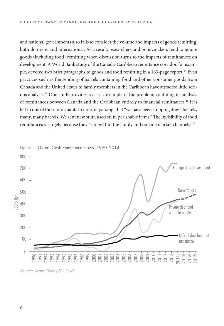and national governments also fails to consider the volume and impacts of goods remitting, both domestic and international. As a result, researchers and policymakers tend to ignore goods (including food) remitting when discussion turns to the impacts of remittances on development. A World Bank study of the Canada-Caribbean remittance corridor, for example, devoted two brief paragraphs to goods and food remitting in a 163-page report.14 Even practices such as the sending of barrels containing food and other consumer goods from Canada and the United States to family members in the Caribbean have attracted little serious analysis.<sup>15</sup> One study provides a classic example of the problem, confining its analysis of remittances between Canada and the Caribbean entirely to financial remittances.<sup>16</sup> It is left to one of their informants to note, in passing, that "we have been shipping down barrels, many, many barrels. We sent new stuff, used stuff, perishable items." The invisibility of food remittances is largely because they "run within the family and outside market channels."<sup>17</sup>



Source: World Bank (2015: 4)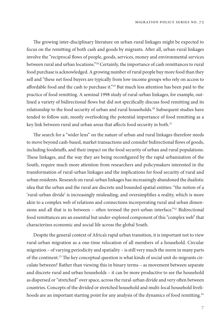The growing inter-disciplinary literature on urban-rural linkages might be expected to focus on the remitting of both cash and goods by migrants. After all, urban-rural linkages involve the "reciprocal flows of people, goods, services, money and environmental services between rural and urban locations."18 Certainly, the importance of cash remittances to rural food purchase is acknowledged. A growing number of rural people buy more food than they sell and "these net food buyers are typically from low-income groups who rely on access to affordable food and the cash to purchase it."<sup>19</sup> But much less attention has been paid to the practice of food remitting. A seminal 1998 study of rural-urban linkages, for example, outlined a variety of bidirectional flows but did not specifically discuss food remitting and its relationship to the food security of urban and rural households.<sup>20</sup> Subsequent studies have tended to follow suit, mostly overlooking the potential importance of food remitting as a key link between rural and urban areas that affects food security in both.<sup>21</sup>

The search for a "wider lens" on the nature of urban and rural linkages therefore needs to move beyond cash-based, market transactions and consider bidirectional flows of goods, including foodstuffs, and their impact on the food security of urban and rural populations. These linkages, and the way they are being reconfigured by the rapid urbanization of the South, require much more attention from researchers and policymakers interested in the transformation of rural-urban linkages and the implications for food security of rural and urban residents. Research on rural-urban linkages has increasingly abandoned the dualistic idea that the urban and the rural are discrete and bounded spatial entities: "the notion of a 'rural-urban divide' is increasingly misleading, and oversimplifies a reality, which is more akin to a complex web of relations and connections incorporating rural and urban dimensions and all that is in between – often termed the peri-urban interface."<sup>22</sup> Bidirectional food remittances are an essential but under-explored component of this "complex web" that characterizes economic and social life across the global South.

Despite the general context of Africa's rapid urban transition, it is important not to view rural-urban migration as a one-time relocation of all members of a household. Circular migration – of varying periodicity and spatiality – is still very much the norm in many parts of the continent.<sup>23</sup> The key conceptual question is what kinds of social unit do migrants circulate between? Rather than viewing this in binary terms – as movement between separate and discrete rural and urban households – it can be more productive to see the household as dispersed or "stretched" over space, across the rural-urban divide and very often between countries. Concepts of the divided or stretched household and multi-local household livelihoods are an important starting point for any analysis of the dynamics of food remitting.<sup>24</sup>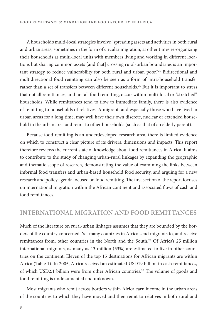A household's multi-local strategies involve "spreading assets and activities in both rural and urban areas, sometimes in the form of circular migration, at other times re-organizing their households as multi-local units with members living and working in different locations but sharing common assets [and that] crossing rural-urban boundaries is an important strategy to reduce vulnerability for both rural and urban poor."25 Bidirectional and multidirectional food remitting can also be seen as a form of intra-household transfer rather than a set of transfers between different households.<sup>26</sup> But it is important to stress that not all remittances, and not all food remitting, occur within multi-local or "stretched" households. While remittances tend to flow to immediate family, there is also evidence of remitting to households of relatives. A migrant, and especially those who have lived in urban areas for a long time, may well have their own discrete, nuclear or extended household in the urban area and remit to other households (such as that of an elderly parent).

Because food remitting is an underdeveloped research area, there is limited evidence on which to construct a clear picture of its drivers, dimensions and impacts. "is report therefore reviews the current state of knowledge about food remittances in Africa. It aims to contribute to the study of changing urban-rural linkages by expanding the geographic and thematic scope of research, demonstrating the value of examining the links between informal food transfers and urban-based household food security, and arguing for a new research and policy agenda focused on food remitting. The first section of the report focuses on international migration within the African continent and associated flows of cash and food remittances.

## **INTERNATIONAL MIGRATION AND FOOD REMITTANCES**

Much of the literature on rural-urban linkages assumes that they are bounded by the borders of the country concerned. Yet many countries in Africa send migrants to, and receive remittances from, other countries in the North and the South.<sup>27</sup> Of Africa's 25 million international migrants, as many as 13 million (53%) are estimated to live in other countries on the continent. Eleven of the top 15 destinations for African migrants are within Africa (Table 1). In 2005, Africa received an estimated USD19 billion in cash remittances, of which USD2.1 billion were from other African countries.<sup>28</sup> The volume of goods and food remitting is undocumented and unknown.

Most migrants who remit across borders within Africa earn income in the urban areas of the countries to which they have moved and then remit to relatives in both rural and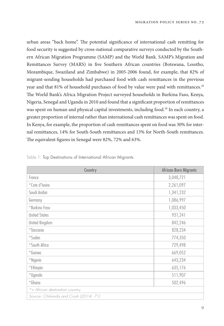urban areas "back home". The potential significance of international cash remitting for food security is suggested by cross-national comparative surveys conducted by the Southern African Migration Programme (SAMP) and the World Bank. SAMP's Migration and Remittances Survey (MARS) in five Southern African countries (Botswana, Lesotho, Mozambique, Swaziland and Zimbabwe) in 2005-2006 found, for example, that 82% of migrant-sending households had purchased food with cash remittances in the previous year and that 81% of household purchases of food by value were paid with remittances.<sup>29</sup> The World Bank's Africa Migration Project surveyed households in Burkina Faso, Kenya, Nigeria, Senegal and Uganda in 2010 and found that a significant proportion of remittances was spent on human and physical capital investments, including food.<sup>30</sup> In each country, a greater proportion of internal rather than international cash remittances was spent on food. In Kenya, for example, the proportion of cash remittances spent on food was 30% for internal remittances, 14% for South-South remittances and 13% for North-South remittances. The equivalent figures in Senegal were 82%, 72% and 63%.

| Country                               | African-Born Migrants |
|---------------------------------------|-----------------------|
| France                                | 3,048,721             |
| *Cote d'Ivoire                        | 2,261,097             |
| Saudi Arabia                          | 1,341,232             |
| Germany                               | 1,086,997             |
| *Burkino Faso                         | 1,033,450             |
| <b>United States</b>                  | 931,241               |
| United Kingdom                        | 842,246               |
| *Tanzania                             | 828,234               |
| *Sudan                                | 774,350               |
| *South Africa                         | 729,498               |
| *Guinea                               | 669,052               |
| *Nigeria                              | 643,234               |
| *Ethiopia                             | 635,176               |
| *Uganda                               | 511,907               |
| $*$ Ghana                             | 502,496               |
| $*$ = African destination country     |                       |
| Source: Chikanda and Crush (2014: 71) |                       |

Table 1: Top Destinations of International African Migrants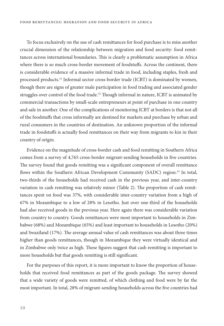To focus exclusively on the use of cash remittances for food purchase is to miss another crucial dimension of the relationship between migration and food security: food remittances across international boundaries. This is clearly a problematic assumption in Africa where there is so much cross-border movement of foodstuffs. Across the continent, there is considerable evidence of a massive informal trade in food, including staples, fresh and processed products.<sup>31</sup> Informal sector cross-border trade (ICBT) is dominated by women, though there are signs of greater male participation in food trading and associated gender struggles over control of the food trade.<sup>32</sup> Though informal in nature, ICBT is animated by commercial transactions by small-scale entrepreneurs at point of purchase in one country and sale in another. One of the complications of monitoring ICBT at borders is that not all of the foodstuffs that cross informally are destined for markets and purchase by urban and rural consumers in the countries of destination. An unknown proportion of the informal trade in foodstuffs is actually food remittances on their way from migrants to kin in their country of origin.

Evidence on the magnitude of cross-border cash and food remitting in Southern Africa comes from a survey of 4,765 cross-border migrant-sending households in five countries. The survey found that goods remitting was a significant component of overall remittance flows within the Southern African Development Community (SADC) region.<sup>33</sup> In total, two-thirds of the households had received cash in the previous year, and inter-country variation in cash remitting was relatively minor (Table 2). The proportion of cash remittances spent on food was 37%, with considerable inter-country variation from a high of 67% in Mozambique to a low of 28% in Lesotho. Just over one-third of the households had also received goods in the previous year. Here again there was considerable variation from country to country. Goods remittances were most important to households in Zimbabwe (68%) and Mozambique (65%) and least important to households in Lesotho (20%) and Swaziland (17%). The average annual value of cash remittances was about three times higher than goods remittances, though in Mozambique they were virtually identical and in Zimbabwe only twice as high. These figures suggest that cash remitting is important to more households but that goods remitting is still significant.

For the purposes of this report, it is more important to know the proportion of households that received food remittances as part of the goods package. The survey showed that a wide variety of goods were remitted, of which clothing and food were by far the most important. In total, 28% of migrant-sending households across the five countries had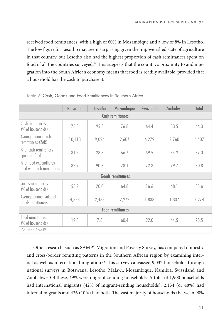received food remittances, with a high of 60% in Mozambique and a low of 8% in Lesotho. The low figure for Lesotho may seem surprising given the impoverished state of agriculture in that country, but Lesotho also had the highest proportion of cash remittances spent on food of all the countries surveyed.<sup>34</sup> This suggests that the country's proximity to and integration into the South African economy means that food is readily available, provided that a household has the cash to purchase it.

|                                                      | <b>Botswana</b> | Lesotho | Mozambique       | Swaziland | <b>Zimbabwe</b> | Total |
|------------------------------------------------------|-----------------|---------|------------------|-----------|-----------------|-------|
|                                                      |                 |         | Cash remittances |           |                 |       |
| Cash remittances<br>(% of households)                | 76.3            | 95.3    | 76.8             | 64.4      | 83.5            | 66.3  |
| Average annual cash<br>remittances (ZAR)             | 10,413          | 9,094   | 2,607            | 6,279     | 2,760           | 6,407 |
| % of cash remittances<br>spent on food               | 31.5            | 28.3    | 66.7             | 59.5      | 34.2            | 37.0  |
| % of food expenditures<br>paid with cash remittances | 82.9            | 90.3    | 78.1             | 72.3      | 79.7            | 80.8  |
| <b>Goods remittances</b>                             |                 |         |                  |           |                 |       |
| Goods remittances<br>(% of households)               | 53.2            | 20.0    | 64.8             | 16.6      | 68.1            | 33.6  |
| Average annual value of<br>goods remittances         | 4,853           | 2,488   | 2,272            | 1,838     | 1,307           | 2,274 |
| <b>Food remittances</b>                              |                 |         |                  |           |                 |       |
| Food remittances<br>(% of households)                | 19.8            | 7.6     | 60.4             | 22.0      | 44.5            | 28.5  |
| Source: SAMP                                         |                 |         |                  |           |                 |       |

Table 2: Cash, Goods and Food Remittances in Southern Africa

Other research, such as SAMP's Migration and Poverty Survey, has compared domestic and cross-border remitting patterns in the Southern African region by examining internal as well as international migration.<sup>35</sup> This survey canvassed 9,032 households through national surveys in Botswana, Lesotho, Malawi, Mozambique, Namibia, Swaziland and Zimbabwe. Of these, 49% were migrant-sending households. A total of 1,900 households had international migrants (42% of migrant-sending households), 2,134 (or 48%) had internal migrants and 436 (10%) had both. The vast majority of households (between 90%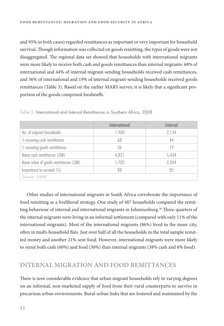and 95% in both cases) regarded remittances as important or very important for household survival. Though information was collected on goods remitting, the types of goods were not disaggregated. The regional data set showed that households with international migrants were more likely to receive both cash and goods remittances than internal migrants: 68% of international and 44% of internal migrant-sending households received cash remittances, and 36% of international and 19% of internal migrant-sending households received goods remittances (Table 3). Based on the earlier MARS survey, it is likely that a significant proportion of the goods comprised foodstuffs.

|                                       | International | Internal |
|---------------------------------------|---------------|----------|
| No. of migrant households             | 1,900         | 2,134    |
| % receiving cash remittances          | 68            | 44       |
| % receiving goods remittances         | 36            | 19       |
| Mean cash remittances (ZAR)           | 4,821         | 5,434    |
| Mean value of goods remittances (ZAR) | 1,702         | 2,004    |
| Importance to survival $(\%)$         | 88            | 85       |
| Source: SAMP                          |               |          |

Table 3: International and Internal Remittances in Southern Africa, 2008

Other studies of international migrants in South Africa corroborate the importance of food remitting as a livelihood strategy. One study of 487 households compared the remitting behaviour of internal and international migrants in Johannesburg.<sup>36</sup> Three-quarters of the internal migrants were living in an informal settlement (compared with only 11% of the international migrants). Most of the international migrants (86%) lived in the inner city, often in multi-household flats. Just over half of all the households in the total sample remitted money and another 21% sent food. However, international migrants were more likely to remit both cash (60%) and food (30%) than internal migrants (38% cash and 6% food).

# **INTERNAL MIGRATION AND FOOD REMITTANCES**

There is now considerable evidence that urban migrant households rely to varying degrees on an informal, non-marketed supply of food from their rural counterparts to survive in precarious urban environments. Rural-urban links that are fostered and maintained by the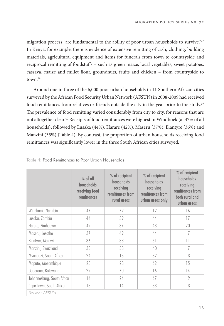migration process "are fundamental to the ability of poor urban households to survive."<sup>37</sup> In Kenya, for example, there is evidence of extensive remitting of cash, clothing, building materials, agricultural equipment and items for funerals from town to countryside and reciprocal remitting of foodstuffs – such as green maize, local vegetables, sweet potatoes, cassava, maize and millet flour, groundnuts, fruits and chicken - from countryside to town.38

Around one in three of the 6,000 poor urban households in 11 Southern African cities surveyed by the African Food Security Urban Network (AFSUN) in 2008-2009 had received food remittances from relatives or friends outside the city in the year prior to the study.<sup>39</sup> The prevalence of food remitting varied considerably from city to city, for reasons that are not altogether clear.40 Receipts of food remittances were highest in Windhoek (at 47% of all households), followed by Lusaka (44%), Harare (42%), Maseru (37%), Blantyre (36%) and Manzini (35%) (Table 4). By contrast, the proportion of urban households receiving food remittances was significantly lower in the three South African cities surveyed.

|                            | $%$ of all<br>households<br>receiving food<br>remittances | % of recipient<br>households<br>receiving<br>remittances from<br>rural areas | % of recipient<br>households<br>receiving<br>remittances from<br>urban areas only | % of recipient<br>households<br>receiving<br>remittances from<br>both rural and<br>urban areas |
|----------------------------|-----------------------------------------------------------|------------------------------------------------------------------------------|-----------------------------------------------------------------------------------|------------------------------------------------------------------------------------------------|
| Windhoek, Namibia          | 47                                                        | 72                                                                           | 12                                                                                | 16                                                                                             |
| Lusaka, Zambia             | 44                                                        | 39                                                                           | 44                                                                                | 17                                                                                             |
| Harare, Zimbabwe           | 42                                                        | 37                                                                           | 43                                                                                | 20                                                                                             |
| Maseru, Lesotho            | 37                                                        | 49                                                                           | 44                                                                                | 7                                                                                              |
| Blantyre, Malawi           | 36                                                        | 38                                                                           | 51                                                                                | 11                                                                                             |
| Manzini, Swaziland         | 35                                                        | 53                                                                           | 40                                                                                | 7                                                                                              |
| Msunduzi, South Africa     | 24                                                        | 15                                                                           | 82                                                                                | 3                                                                                              |
| Maputo, Mozambique         | 23                                                        | 23                                                                           | 62                                                                                | 15                                                                                             |
| Gaborone, Botswana         | 22                                                        | 70                                                                           | 16                                                                                | 14                                                                                             |
| Johannesburg, South Africa | 14                                                        | 24                                                                           | 67                                                                                | 9                                                                                              |
| Cape Town, South Africa    | 18                                                        | 14                                                                           | 83                                                                                | 3                                                                                              |
| Source: AFSUN              |                                                           |                                                                              |                                                                                   |                                                                                                |

#### Table 4: Food Remittances to Poor Urban Households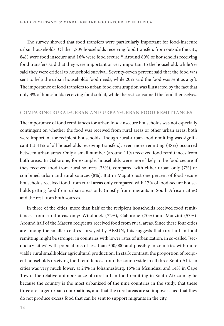The survey showed that food transfers were particularly important for food-insecure urban households. Of the 1,809 households receiving food transfers from outside the city, 84% were food insecure and 16% were food secure.<sup>41</sup> Around 80% of households receiving food transfers said that they were important or very important to the household, while 9% said they were critical to household survival. Seventy-seven percent said that the food was sent to help the urban household's food needs, while 20% said the food was sent as a gift. The importance of food transfers to urban food consumption was illustrated by the fact that only 3% of households receiving food sold it, while the rest consumed the food themselves.

#### **COMPARING RURAL-URBAN AND URBAN-URBAN FOOD REMITTANCES**

The importance of food remittances for urban food-insecure households was not especially contingent on whether the food was received from rural areas or other urban areas; both were important for recipient households. Though rural-urban food remitting was significant (at 41% of all households receiving transfers), even more remitting (48%) occurred between urban areas. Only a small number (around 11%) received food remittances from both areas. In Gaborone, for example, households were more likely to be food-secure if they received food from rural sources (33%), compared with either urban only (7%) or combined urban and rural sources (8%). But in Maputo just one percent of food-secure households received food from rural areas only compared with 17% of food-secure households getting food from urban areas only (mostly from migrants in South African cities) and the rest from both sources.

In three of the cities, more than half of the recipient households received food remittances from rural areas only: Windhoek (72%), Gaborone (70%) and Manzini (53%). Around half of the Maseru recipients received food from rural areas. Since these four cities are among the smaller centres surveyed by AFSUN, this suggests that rural-urban food remitting might be stronger in countries with lower rates of urbanization, in so-called "secondary cities" with populations of less than 500,000 and possibly in countries with more viable rural smallholder agricultural production. In stark contrast, the proportion of recipient households receiving food remittances from the countryside in all three South African cities was very much lower: at 24% in Johannesburg, 15% in Msunduzi and 14% in Cape Town. The relative unimportance of rural-urban food remitting in South Africa may be because the country is the most urbanized of the nine countries in the study, that these three are larger urban conurbations, and that the rural areas are so impoverished that they do not produce excess food that can be sent to support migrants in the city.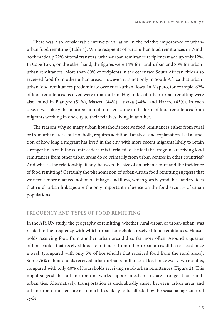There was also considerable inter-city variation in the relative importance of urbanurban food remitting (Table 4). While recipients of rural-urban food remittances in Windhoek made up 72% of total transfers, urban-urban remittance recipients made up only 12%. In Cape Town, on the other hand, the figures were 14% for rural-urban and 83% for urbanurban remittances. More than 80% of recipients in the other two South African cities also received food from other urban areas. However, it is not only in South Africa that urbanurban food remittances predominate over rural-urban flows. In Maputo, for example, 62% of food remittances received were urban-urban. High rates of urban-urban remitting were also found in Blantyre (51%), Maseru (44%), Lusaka (44%) and Harare (43%). In each case, it was likely that a proportion of transfers came in the form of food remittances from migrants working in one city to their relatives living in another.

The reasons why so many urban households receive food remittances either from rural or from urban areas, but not both, requires additional analysis and explanation. Is it a function of how long a migrant has lived in the city, with more recent migrants likely to retain stronger links with the countryside? Or is it related to the fact that migrants receiving food remittances from other urban areas do so primarily from urban centres in other countries? And what is the relationship, if any, between the size of an urban centre and the incidence of food remitting? Certainly the phenomenon of urban-urban food remitting suggests that we need a more nuanced notion of linkages and flows, which goes beyond the standard idea that rural-urban linkages are the only important influence on the food security of urban populations.

#### **FREQUENCY AND TYPES OF FOOD REMITTING**

In the AFSUN study, the geography of remitting, whether rural-urban or urban-urban, was related to the frequency with which urban households received food remittances. Households receiving food from another urban area did so far more often. Around a quarter of households that received food remittances from other urban areas did so at least once a week (compared with only 5% of households that received food from the rural areas). Some 76% of households received urban-urban remittances at least once every two months, compared with only 40% of households receiving rural-urban remittances (Figure 2). This might suggest that urban-urban networks support mechanisms are stronger than ruralurban ties. Alternatively, transportation is undoubtedly easier between urban areas and urban-urban transfers are also much less likely to be affected by the seasonal agricultural cycle.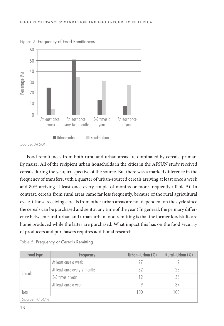

Figure 2: Frequency of Food Remittances

Food remittances from both rural and urban areas are dominated by cereals, primarily maize. All of the recipient urban households in the cities in the AFSUN study received cereals during the year, irrespective of the source. But there was a marked difference in the frequency of transfers, with a quarter of urban-sourced cereals arriving at least once a week and 80% arriving at least once every couple of months or more frequently (Table 5). In contrast, cereals from rural areas came far less frequently, because of the rural agricultural cycle. (Those receiving cereals from other urban areas are not dependent on the cycle since the cereals can be purchased and sent at any time of the year.) In general, the primary difference between rural-urban and urban-urban food remitting is that the former foodstuffs are home produced while the latter are purchased. What impact this has on the food security of producers and purchasers requires additional research.

| Food type     | Frequency                    | Urban-Urban (%) | Rural-Urban (%) |
|---------------|------------------------------|-----------------|-----------------|
|               | At least once a week         |                 |                 |
|               | At least once every 2 months | 52              | 25              |
| Cereals       | 3-6 times a year             | 12              | 36              |
|               | At least once a year         |                 | 37              |
| Total         |                              | 100             | 100             |
| Source: AFSUN |                              |                 |                 |

Table 5: Frequency of Cereals Remitting

Source: AFSUN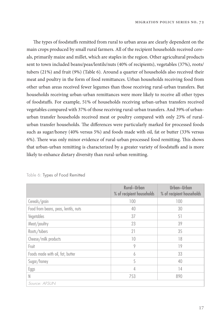The types of foodstuffs remitted from rural to urban areas are clearly dependent on the main crops produced by small rural farmers. All of the recipient households received cereals, primarily maize and millet, which are staples in the region. Other agricultural products sent to town included beans/peas/lentils/nuts (40% of recipients), vegetables (37%), roots/ tubers (21%) and fruit (9%) (Table 6). Around a quarter of households also received their meat and poultry in the form of food remittances. Urban households receiving food from other urban areas received fewer legumes than those receiving rural-urban transfers. But households receiving urban-urban remittances were more likely to receive all other types of foodstuffs. For example, 51% of households receiving urban-urban transfers received vegetables compared with 37% of those receiving rural-urban transfers. And 39% of urbanurban transfer households received meat or poultry compared with only 23% of ruralurban transfer households. The differences were particularly marked for processed foods such as sugar/honey (40% versus 5%) and foods made with oil, fat or butter (33% versus 6%). There was only minor evidence of rural-urban processed food remitting. This shows that urban-urban remitting is characterized by a greater variety of foodstuffs and is more likely to enhance dietary diversity than rural-urban remitting.

|                                      | Rural-Urban<br>% of recipient households | Urban-Urban<br>% of recipient households |
|--------------------------------------|------------------------------------------|------------------------------------------|
| Cereals/grain                        | 100                                      | 100                                      |
| Food from beans, peas, lentils, nuts | 40                                       | 30                                       |
| Vegetables                           | 37                                       | 51                                       |
| Meat/poultry                         | 23                                       | 39                                       |
| Roots/tubers                         | 21                                       | 35                                       |
| Cheese/milk products                 | 10                                       | 18                                       |
| Fruit                                | 9                                        | 19                                       |
| Foods made with oil, fat, butter     | 6                                        | 33                                       |
| Sugar/honey                          | 5                                        | 40                                       |
| Eggs                                 | 4                                        | 14                                       |
| N                                    | 753                                      | 890                                      |
| Source: AFSUN                        |                                          |                                          |

Table 6: Types of Food Remitted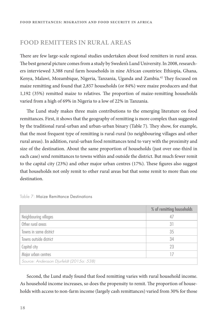# **FOOD REMITTERS IN RURAL AREAS**

There are few large-scale regional studies undertaken about food remitters in rural areas. The best general picture comes from a study by Sweden's Lund University. In 2008, researchers interviewed 3,388 rural farm households in nine African countries: Ethiopia, Ghana, Kenya, Malawi, Mozambique, Nigeria, Tanzania, Uganda and Zambia.<sup>42</sup> They focused on maize remitting and found that 2,857 households (or 84%) were maize producers and that 1,192 (35%) remitted maize to relatives. The proportion of maize-remitting households varied from a high of 69% in Nigeria to a low of 22% in Tanzania.

The Lund study makes three main contributions to the emerging literature on food remittances. First, it shows that the geography of remitting is more complex than suggested by the traditional rural-urban and urban-urban binary (Table 7). They show, for example, that the most frequent type of remitting is rural-rural (to neighbouring villages and other rural areas). In addition, rural-urban food remittances tend to vary with the proximity and size of the destination. About the same proportion of households (just over one-third in each case) send remittances to towns within and outside the district. But much fewer remit to the capital city  $(23%)$  and other major urban centres  $(17%)$ . These figures also suggest that households not only remit to other rural areas but that some remit to more than one destination.

|                                          | % of remitting households |
|------------------------------------------|---------------------------|
| Neighbouring villages                    | 47                        |
| Other rural areas                        | 31                        |
| Towns in same district                   | 35                        |
| Towns outside district                   | 34                        |
| Capital city                             | 23                        |
| Major urban centres                      |                           |
| Source: Andersson Djurfeldt (2015a: 538) |                           |

| Table 7: Maize Remittance Destinations |  |
|----------------------------------------|--|
|----------------------------------------|--|

Second, the Lund study found that food remitting varies with rural household income. As household income increases, so does the propensity to remit. The proportion of households with access to non-farm income (largely cash remittances) varied from 30% for those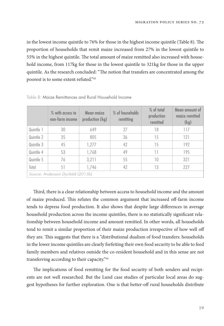in the lowest income quintile to  $76\%$  for those in the highest income quintile (Table 8). The proportion of households that remit maize increased from 27% in the lowest quintile to 55% in the highest quintile. The total amount of maize remitted also increased with household income, from 117kg for those in the lowest quintile to 321kg for those in the upper quintile. As the research concluded: "The notion that transfers are concentrated among the poorest is to some extent refuted."43

|                                     | % with access to<br>non-farm income | Mean maize<br>production (kg) | % of households<br>remitting | % of total<br>production<br>remitted | Mean amount of<br>maize remitted<br>(kg) |  |
|-------------------------------------|-------------------------------------|-------------------------------|------------------------------|--------------------------------------|------------------------------------------|--|
| Quintile 1                          | 30                                  | 649                           | 27                           | 18                                   | 117                                      |  |
| Quintile 2                          | 35                                  | 805                           | 36                           | 15                                   | 121                                      |  |
| Quintile 3                          | 45                                  | 1,277                         | 42                           | 15                                   | 192                                      |  |
| Quintile 4                          | 53                                  | 1,768                         | 49                           | 11                                   | 195                                      |  |
| Quintile 5                          | 76                                  | 3,211                         | 55                           | 10                                   | 321                                      |  |
| Total                               | 51                                  | 1,746                         | 42                           | 13                                   | 227                                      |  |
| Source: Andersson Djurfeldt (2015b) |                                     |                               |                              |                                      |                                          |  |

Table 8: Maize Remittances and Rural Household Income

Third, there is a clear relationship between access to household income and the amount of maize produced. This refutes the common argument that increased off-farm income tends to depress food production. It also shows that despite large differences in average household production across the income quintiles, there is no statistically significant relationship between household income and amount remitted. In other words, all households tend to remit a similar proportion of their maize production irrespective of how well off they are. This suggests that there is a "distributional dualism of food transfers: households in the lower income quintiles are clearly forfeiting their own food security to be able to feed family members and relatives outside the co-resident household and in this sense are not transferring according to their capacity."44

The implications of food remitting for the food security of both senders and recipients are not well researched. But the Lund case studies of particular local areas do suggest hypotheses for further exploration. One is that better-off rural households distribute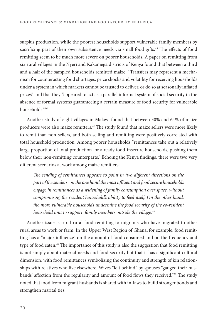surplus production, while the poorest households support vulnerable family members by sacrificing part of their own subsistence needs via small food gifts.<sup>45</sup> The effects of food remitting seem to be much more severe on poorer households. A paper on remitting from six rural villages in the Nyeri and Kakamega districts of Kenya found that between a third and a half of the sampled households remitted maize: "Transfers may represent a mechanism for counteracting food shortages, price shocks and volatility for receiving households under a system in which markets cannot be trusted to deliver, or do so at seasonally inflated prices" and that they "appeared to act as a parallel informal system of social security in the absence of formal systems guaranteeing a certain measure of food security for vulnerable households."46

Another study of eight villages in Malawi found that between 30% and 64% of maize producers were also maize remitters.<sup>47</sup> The study found that maize sellers were more likely to remit than non-sellers, and both selling and remitting were positively correlated with total household production. Among poorer households "remittances take out a relatively large proportion of total production for already food-insecure households, pushing them below their non-remitting counterparts." Echoing the Kenya findings, there were two very different scenarios at work among maize remitters:

The sending of remittances appears to point in two different directions on the part of the senders: on the one hand the most affluent and food secure households engage in remittances as a widening of family consumption over space, without compromising the resident household's ability to feed itself. On the other hand, the more vulnerable households undermine the food security of the co-resident household unit to support family members outside the village.<sup>48</sup>

Another issue is rural-rural food remitting to migrants who have migrated to other rural areas to work or farm. In the Upper West Region of Ghana, for example, food remitting has a "major influence" on the amount of food consumed and on the frequency and type of food eaten.<sup>49</sup> The importance of this study is also the suggestion that food remitting is not simply about material needs and food security but that it has a significant cultural dimension, with food remittances symbolizing the continuity and strength of kin relationships with relatives who live elsewhere. Wives "left behind" by spouses "gauged their husbands' affection from the regularity and amount of food flows they received."<sup>50</sup> The study noted that food from migrant husbands is shared with in-laws to build stronger bonds and strengthen marital ties.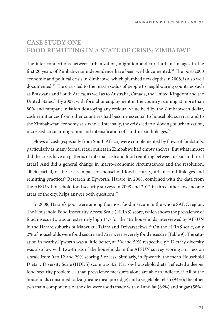# **CASE STUDY ONE FOOD REMITTING IN A STATE OF CRISIS: ZIMBABWE**

The inter-connections between urbanization, migration and rural-urban linkages in the first 20 years of Zimbabwean independence have been well documented.<sup>51</sup> The post-2000 economic and political crisis in Zimbabwe, which plumbed new depths in 2008, is also well documented. $52$  The crisis led to the mass exodus of people to neighbouring countries such as Botswana and South Africa, as well as to Australia, Canada, the United Kingdom and the United States.<sup>53</sup> By 2008, with formal unemployment in the country running at more than 80% and rampant inflation destroying any residual value held by the Zimbabwean dollar, cash remittances from other countries had become essential to household survival and to the Zimbabwean economy as a whole. Internally, the crisis led to a slowing of urbanization, increased circular migration and intensification of rural-urban linkages.<sup>54</sup>

Flows of cash (especially from South Africa) were complemented by flows of foodstuffs, particularly as many formal retail outlets in Zimbabwe had empty shelves. But what impact did the crisis have on patterns of internal cash and food remitting between urban and rural areas? And did a general change in macro-economic circumstances and the resolution, albeit partial, of the crisis impact on household food security, urban-rural linkages and remitting practices? Research in Epworth, Harare, in 2008, combined with the data from the AFSUN household food security surveys in 2008 and 2012 in three other low-income areas of the city, helps answer both questions.<sup>55</sup>

In 2008, Harare's poor were among the most food insecure in the whole SADC region. The Household Food Insecurity Access Scale (HFIAS) score, which shows the prevalence of food insecurity, was an extremely high 14.7 for the 462 households interviewed by AFSUN in the Harare suburbs of Mabvuku, Tafara and Dzivarasekwa.<sup>56</sup> On the HFIAS scale, only 2% of households were food secure and 72% were severely food insecure (Table 9). The situation in nearby Epworth was a little better, at 3% and 59% respectively.57 Dietary diversity was also low with two-thirds of the households in the AFSUN survey scoring 5 or less on a scale from 0 to 12 and 29% scoring 3 or less. Similarly, in Epworth, the mean Household Dietary Diversity Scale (HDDS) score was 4.2. Narrow household diets "reflected a deeper food security problem … than prevalence measures alone are able to indicate."58 All of the households consumed sadza (mealie meal porridge) and a vegetable relish (94%); the other two main components of the diet were foods made with oil and fat (66%) and sugar (58%).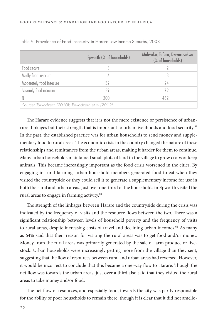|                                                  | Epworth (% of households) | Mabvuku, Tafara, Dzivarasekwa<br>(% of households) |  |  |  |
|--------------------------------------------------|---------------------------|----------------------------------------------------|--|--|--|
| Food secure                                      |                           |                                                    |  |  |  |
| Mildly food insecure                             |                           | 3                                                  |  |  |  |
| Moderately food insecure                         | 32                        | 24                                                 |  |  |  |
| Severely food insecure                           | 59                        | 72                                                 |  |  |  |
|                                                  | 200                       | 462                                                |  |  |  |
| Source: Tawodzera (2010); Tawodzera et al (2012) |                           |                                                    |  |  |  |

Table 9: Prevalence of Food Insecurity in Harare Low-Income Suburbs, 2008

The Harare evidence suggests that it is not the mere existence or persistence of urbanrural linkages but their strength that is important to urban livelihoods and food security.<sup>59</sup> In the past, the established practice was for urban households to send money and supplementary food to rural areas. The economic crisis in the country changed the nature of these relationships and remittances from the urban areas, making it harder for them to continue. Many urban households maintained small plots of land in the village to grow crops or keep animals. This became increasingly important as the food crisis worsened in the cities. By engaging in rural farming, urban household members generated food to eat when they visited the countryside or they could sell it to generate a supplementary income for use in both the rural and urban areas. Just over one-third of the households in Epworth visited the rural areas to engage in farming activity.<sup>60</sup>

The strength of the linkages between Harare and the countryside during the crisis was indicated by the frequency of visits and the resource flows between the two. There was a significant relationship between levels of household poverty and the frequency of visits to rural areas, despite increasing costs of travel and declining urban incomes.<sup>61</sup> As many as 64% said that their reason for visiting the rural areas was to get food and/or money. Money from the rural areas was primarily generated by the sale of farm produce or livestock. Urban households were increasingly getting more from the village than they sent, suggesting that the flow of resources between rural and urban areas had reversed. However, it would be incorrect to conclude that this became a one-way flow to Harare. Though the net flow was towards the urban areas, just over a third also said that they visited the rural areas to take money and/or food.

The net flow of resources, and especially food, towards the city was partly responsible for the ability of poor households to remain there, though it is clear that it did not amelio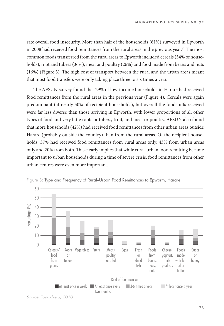rate overall food insecurity. More than half of the households (61%) surveyed in Epworth in 2008 had received food remittances from the rural areas in the previous year. $62$  The most common foods transferred from the rural areas to Epworth included cereals (54% of households), root and tubers (36%), meat and poultry (26%) and food made from beans and nuts  $(16%)$  (Figure 3). The high cost of transport between the rural and the urban areas meant that most food transfers were only taking place three to six times a year.

The AFSUN survey found that 29% of low-income households in Harare had received food remittances from the rural areas in the previous year (Figure 4). Cereals were again predominant (at nearly 50% of recipient households), but overall the foodstuffs received were far less diverse than those arriving in Epworth, with lower proportions of all other types of food and very little roots or tubers, fruit, and meat or poultry. AFSUN also found that more households (42%) had received food remittances from other urban areas outside Harare (probably outside the country) than from the rural areas. Of the recipient households, 37% had received food remittances from rural areas only, 43% from urban areas only and 20% from both. "is clearly implies that while rural-urban food remitting became important to urban households during a time of severe crisis, food remittances from other urban centres were even more important.



Figure 3: Type and Frequency of Rural–Urban Food Remittances to Epworth, Harare

Source: Tawodzera, 2010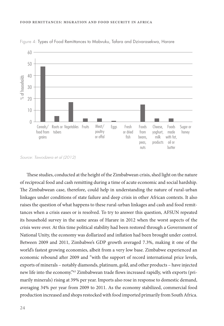

Figure 4: Types of Food Remittances to Mabvuku, Tafara and Dzivarasekwa, Harare

Source: Tawodzera et al (2012)

These studies, conducted at the height of the Zimbabwean crisis, shed light on the nature of reciprocal food and cash remitting during a time of acute economic and social hardship. The Zimbabwean case, therefore, could help in understanding the nature of rural-urban linkages under conditions of state failure and deep crisis in other African contexts. It also raises the question of what happens to these rural-urban linkages and cash and food remittances when a crisis eases or is resolved. To try to answer this question, AFSUN repeated its household survey in the same areas of Harare in 2012 when the worst aspects of the crisis were over. At this time political stability had been restored through a Government of National Unity, the economy was dollarized and inflation had been brought under control. Between 2009 and 2011, Zimbabwe's GDP growth averaged 7.3%, making it one of the world's fastest growing economies, albeit from a very low base. Zimbabwe experienced an economic rebound after 2009 and "with the support of record international price levels, exports of minerals – notably diamonds, platinum, gold, and other products – have injected new life into the economy."<sup>63</sup> Zimbabwean trade flows increased rapidly, with exports (primarily minerals) rising at 39% per year. Imports also rose in response to domestic demand, averaging 34% per year from 2009 to 2011. As the economy stabilized, commercial food production increased and shops restocked with food imported primarily from South Africa.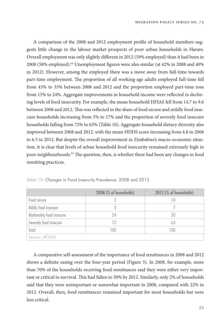A comparison of the 2008 and 2012 employment profile of household members suggests little change in the labour market prospects of poor urban households in Harare. Overall employment was only slightly different in 2012 (59% employed) than it had been in 2008 (58% employed).<sup>64</sup> Unemployment figures were also similar (at  $42\%$  in 2008 and  $40\%$ in 2012). However, among the employed there was a move away from full-time towards part-time employment. The proportion of all working-age adults employed full-time fell from 43% to 35% between 2008 and 2012 and the proportion employed part-time rose from 15% to 24%. Aggregate improvements in household income were reflected in declining levels of food insecurity. For example, the mean household HFIAS fell from 14.7 to 9.6 between 2008 and 2012. This was reflected in the share of food secure and mildly food insecure households increasing from 5% to 17% and the proportion of severely food insecure households falling from 72% to 63% (Table 10). Aggregate household dietary diversity also improved between 2008 and 2012, with the mean HDDS score increasing from 4.8 in 2008 to 6.5 in 2012. But despite the overall improvement in Zimbabwe's macro-economic situation, it is clear that levels of urban household food insecurity remained extremely high in poor neighbourhoods.<sup>65</sup> The question, then, is whether there had been any changes in food remitting practices.

|                          | 2008 (% of households) | 2012 (% of households) |  |
|--------------------------|------------------------|------------------------|--|
| Food secure              |                        |                        |  |
| Mildly food insecure     |                        |                        |  |
| Moderately food insecure | 74                     | 20                     |  |
| Severely food insecure   | 72                     | 63                     |  |
| Total                    | 100<br>100             |                        |  |
| Source: AFSUN            |                        |                        |  |

Table 10: Changes in Food Insecurity Prevalence, 2008 and 2012

A comparative self-assessment of the importance of food remittances in 2008 and 2012 shows a definite easing over the four-year period (Figure 5). In 2008, for example, more than 70% of the households receiving food remittances said they were either very important or critical to survival. This had fallen to 50% by 2012. Similarly, only 2% of households said that they were unimportant or somewhat important in 2008, compared with 22% in 2012. Overall, then, food remittances remained important for most households but were less critical.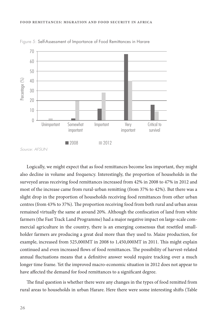

Figure 5: Self-Assessment of Importance of Food Remittances in Harare

Source: AFSUN

Logically, we might expect that as food remittances become less important, they might also decline in volume and frequency. Interestingly, the proportion of households in the surveyed areas receiving food remittances increased from 42% in 2008 to 47% in 2012 and most of the increase came from rural-urban remitting (from 37% to 42%). But there was a slight drop in the proportion of households receiving food remittances from other urban centres (from 43% to 37%). The proportion receiving food from both rural and urban areas remained virtually the same at around 20%. Although the confiscation of land from white farmers (the Fast Track Land Programme) had a major negative impact on large-scale commercial agriculture in the country, there is an emerging consensus that resettled smallholder farmers are producing a great deal more than they used to. Maize production, for example, increased from 525,000MT in 2008 to 1,450,000MT in 2011. This might explain continued and even increased flows of food remittances. The possibility of harvest-related annual fluctuations means that a definitive answer would require tracking over a much longer time frame. Yet the improved macro-economic situation in 2012 does not appear to have affected the demand for food remittances to a significant degree.

The final question is whether there were any changes in the types of food remitted from rural areas to households in urban Harare. Here there were some interesting shifts (Table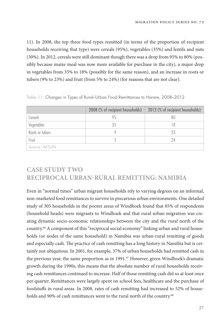11). In 2008, the top three food types remitted (in terms of the proportion of recipient households receiving that type) were cereals (95%), vegetables (35%) and lentils and nuts (30%). In 2012, cereals were still dominant though there was a drop from 95% to 80% (possibly because maize meal was now more available for purchase in the city), a major drop in vegetables from 35% to 18% (possibly for the same reason), and an increase in roots or tubers (9% to 23%) and fruit (from 5% to 24%) (for reasons that are not clear).

|                 | 2008 (% of recipient households) | 2012 (% of recipient households) |  |
|-----------------|----------------------------------|----------------------------------|--|
| Cereals         | 95                               | 80                               |  |
| Vegetables      | 35                               | 18                               |  |
| Roots or tubers |                                  | 23                               |  |
| Fruit           |                                  | 74                               |  |
| Source: AFSUN   |                                  |                                  |  |

Table 11: Changes in Types of Rural–Urban Food Remittances to Harare, 2008–2012

# **CASE STUDY TWO RECIPROCAL URBAN-RURAL REMITTING: NAMIBIA**

Even in "normal times" urban migrant households rely to varying degrees on an informal, non-marketed food remittances to survive in precarious urban environments. One detailed study of 305 households in the poorer areas of Windhoek found that 85% of respondents (household heads) were migrants to Windhoek and that rural-urban migration was creating dynamic socio-economic relationships between the city and the rural north of the country.66 A component of this "reciprocal social economy" linking urban and rural households (or nodes of the same household) in Namibia was urban-rural remitting of goods and especially cash. The practice of cash remitting has a long history in Namibia but is certainly not ubiquitous. In 2001, for example, 37% of urban households had remitted cash in the previous year, the same proportion as in 1991.<sup>67</sup> However, given Windhoek's dramatic growth during the 1990s, this means that the absolute number of rural households receiving cash remittances continued to increase. Half of those remitting cash did so at least once per quarter. Remittances were largely spent on school fees, healthcare and the purchase of foodstuffs in rural areas. In 2008, rates of cash remitting had increased to 52% of households and 90% of cash remittances went to the rural north of the country.<sup>68</sup>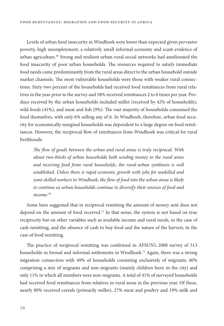Levels of urban food insecurity in Windhoek were lower than expected given pervasive poverty, high unemployment, a relatively small informal economy and scant evidence of urban agriculture.<sup>69</sup> Strong and resilient urban-rural social networks had ameliorated the food insecurity of poor urban households. The resources required to satisfy immediate food needs came predominantly from the rural areas direct to the urban household outside market channels. The most vulnerable households were those with weaker rural connections. Sixty-two percent of the households had received food remittances from rural relatives in the year prior to the survey and 58% received remittances 2 to 6 times per year. Produce received by the urban households included millet (received by 42% of households), wild foods  $(41%)$ , and meat and fish  $(9%)$ . The vast majority of households consumed the food themselves, with only 6% selling any of it. In Windhoek, therefore, urban food security for economically marginal households was dependent to a large degree on food remittances. However, the reciprocal flow of remittances from Windhoek was critical for rural livelihoods:

The flow of goods between the urban and rural areas is truly reciprocal. With about two-thirds of urban households both sending money to the rural areas and receiving food from rural households, the rural-urban symbiosis is well established. Unless there is rapid economic growth with jobs for unskilled and semi-skilled workers in Windhoek, the flow of food into the urban areas is likely to continue as urban households continue to diversify their sources of food and income.<sup>70</sup>

Some have suggested that in reciprocal remitting the amount of money sent does not depend on the amount of food received.<sup>71</sup> In that sense, the system is not based on true reciprocity but on other variables such as available income and rural needs, in the case of cash remitting, and the absence of cash to buy food and the nature of the harvest, in the case of food remitting.

The practice of reciprocal remitting was confirmed in AFSUN's 2008 survey of 513 households in formal and informal settlements in Windhoek.<sup>72</sup> Again, there was a strong migration connection with 49% of households consisting exclusively of migrants, 40% comprising a mix of migrants and non-migrants (mainly children born in the city) and only 11% in which all members were non-migrants. A total of 41% of surveyed households had received food remittances from relatives in rural areas in the previous year. Of these, nearly 80% received cereals (primarily millet), 27% meat and poultry and 19% milk and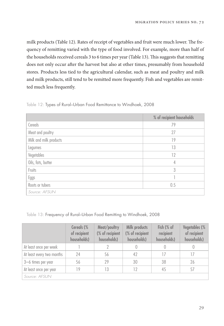milk products (Table 12). Rates of receipt of vegetables and fruit were much lower. The frequency of remitting varied with the type of food involved. For example, more than half of the households received cereals 3 to 6 times per year (Table 13). This suggests that remitting does not only occur after the harvest but also at other times, presumably from household stores. Products less tied to the agricultural calendar, such as meat and poultry and milk and milk products, still tend to be remitted more frequently. Fish and vegetables are remitted much less frequently.

|                        | % of recipient households |
|------------------------|---------------------------|
| Cereals                | 79                        |
| Meat and poultry       | 27                        |
| Milk and milk products | 19                        |
| Legumes                | 13                        |
| Vegetables             | 12                        |
| Oils, fats, butter     | 4                         |
| Fruits                 | 3                         |
| Eggs                   |                           |
| Roots or tubers        | 0.5                       |
| Source: AFSUN          |                           |

#### Table 12: Types of Rural–Urban Food Remittance to Windhoek, 2008

#### Table 13: Frequency of Rural–Urban Food Remitting to Windhoek, 2008

|                           | Cereals (%<br>of recipient<br>households) | Meat/poultry<br>(% of recipient<br>households) | Milk products<br>(% of recipient<br>households) | Fish (% of<br>recipient<br>households) | Vegetables (%<br>of recipient<br>households) |  |
|---------------------------|-------------------------------------------|------------------------------------------------|-------------------------------------------------|----------------------------------------|----------------------------------------------|--|
| At least once per week    |                                           |                                                |                                                 |                                        |                                              |  |
| At least every two months | 24                                        | 56                                             | 42                                              | 17                                     | 17                                           |  |
| 3-6 times per year        | 56                                        | 29                                             | 30                                              | 38                                     | 26                                           |  |
| At least once per year    | 19                                        | 13                                             | 12                                              | 45                                     | 57                                           |  |
| Source: AFSUN             |                                           |                                                |                                                 |                                        |                                              |  |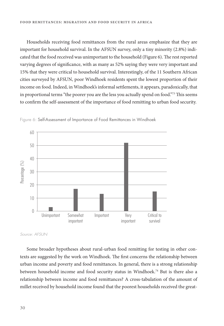Households receiving food remittances from the rural areas emphasize that they are important for household survival. In the AFSUN survey, only a tiny minority (2.8%) indicated that the food received was unimportant to the household (Figure 6). The rest reported varying degrees of significance, with as many as 52% saying they were very important and 15% that they were critical to household survival. Interestingly, of the 11 Southern African cities surveyed by AFSUN, poor Windhoek residents spent the lowest proportion of their income on food. Indeed, in Windhoek's informal settlements, it appears, paradoxically, that in proportional terms "the poorer you are the less you actually spend on food."<sup>73</sup> This seems to confirm the self-assessment of the importance of food remitting to urban food security.



Figure 6: Self-Assessment of Importance of Food Remittances in Windhoek

Some broader hypotheses about rural-urban food remitting for testing in other contexts are suggested by the work on Windhoek. The first concerns the relationship between urban income and poverty and food remittances. In general, there is a strong relationship between household income and food security status in Windhoek.<sup>74</sup> But is there also a relationship between income and food remittances? A cross-tabulation of the amount of millet received by household income found that the poorest households received the great-

Source: AFSUN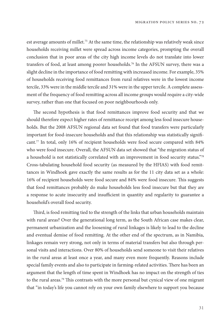est average amounts of millet.<sup>75</sup> At the same time, the relationship was relatively weak since households receiving millet were spread across income categories, prompting the overall conclusion that in poor areas of the city high income levels do not translate into lower transfers of food, at least among poorer households.<sup>76</sup> In the AFSUN survey, there was a slight decline in the importance of food remitting with increased income. For example, 35% of households receiving food remittances from rural relatives were in the lowest income tercile, 33% were in the middle tercile and 31% were in the upper tercile. A complete assessment of the frequency of food remitting across all income groups would require a city-wide survey, rather than one that focused on poor neighbourhoods only.

The second hypothesis is that food remittances improve food security and that we should therefore expect higher rates of remittance receipt among less food insecure households. But the 2008 AFSUN regional data set found that food transfers were particularly important for food-insecure households and that this relationship was statistically significant.77 In total, only 16% of recipient households were food secure compared with 84% who were food insecure. Overall, the AFSUN data set showed that "the migration status of a household is not statistically correlated with an improvement in food security status."78 Cross-tabulating household food security (as measured by the HFIAS) with food remittances in Windhoek gave exactly the same results as for the 11 city data set as a whole: 16% of recipient households were food secure and 84% were food insecure. This suggests that food remittances probably do make households less food insecure but that they are a response to acute insecurity and insufficient in quantity and regularity to guarantee a household's overall food security.

Third, is food remitting tied to the strength of the links that urban households maintain with rural areas? Over the generational long term, as the South African case makes clear, permanent urbanization and the loosening of rural linkages is likely to lead to the decline and eventual demise of food remitting. At the other end of the spectrum, as in Namibia, linkages remain very strong, not only in terms of material transfers but also through personal visits and interactions. Over 80% of households send someone to visit their relatives in the rural areas at least once a year, and many even more frequently. Reasons include special family events and also to participate in farming-related activities. There has been an argument that the length of time spent in Windhoek has no impact on the strength of ties to the rural areas.<sup>79</sup> This contrasts with the more personal but cynical view of one migrant that "in today's life you cannot rely on your own family elsewhere to support you because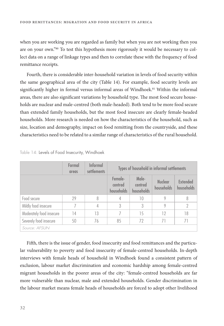when you are working you are regarded as family but when you are not working then you are on your own."80 To test this hypothesis more rigorously it would be necessary to collect data on a range of linkage types and then to correlate these with the frequency of food remittance receipts.

Fourth, there is considerable inter-household variation in levels of food security within the same geographical area of the city (Table 14). For example, food security levels are significantly higher in formal versus informal areas of Windhoek.<sup>81</sup> Within the informal areas, there are also significant variations by household type. The most food secure households are nuclear and male-centred (both male-headed). Both tend to be more food secure than extended family households, but the most food insecure are clearly female-headed households. More research is needed on how the characteristics of the household, such as size, location and demography, impact on food remitting from the countryside, and these characteristics need to be related to a similar range of characteristics of the rural household.

|                          | Formal<br>areas | <b>Informal</b><br><i>settlements</i> | Types of household in informal settlements |                                |                              |                        |
|--------------------------|-----------------|---------------------------------------|--------------------------------------------|--------------------------------|------------------------------|------------------------|
|                          |                 |                                       | Female-<br>centred<br>households           | Male-<br>centred<br>households | <b>Nuclear</b><br>households | Extended<br>households |
| Food secure              | 29              | 8                                     | 4                                          | 10                             | 9                            | 8                      |
| Mildly food insecure     |                 | 4                                     | 3                                          | 3                              | 9                            | 2                      |
| Moderately food insecure | 14              | 13                                    | 7                                          | 15                             | 12                           | 18                     |
| Severely food insecure   | 50              | 76                                    | 85                                         | 72                             | 71                           | 71                     |
| Source: AFSUN            |                 |                                       |                                            |                                |                              |                        |

Table 14: Levels of Food Insecurity, Windhoek

Fifth, there is the issue of gender, food insecurity and food remittances and the particular vulnerability to poverty and food insecurity of female-centred households. In-depth interviews with female heads of household in Windhoek found a consistent pattern of exclusion, labour market discrimination and economic hardship among female-centred migrant households in the poorer areas of the city: "female-centred households are far more vulnerable than nuclear, male and extended households. Gender discrimination in the labour market means female heads of households are forced to adopt other livelihood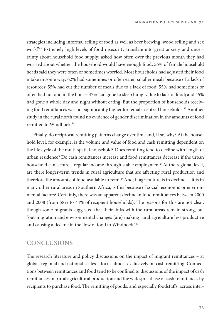strategies including informal selling of food as well as beer brewing, wood selling and sex work."82 Extremely high levels of food insecurity translate into great anxiety and uncertainty about household food supply: asked how often over the previous month they had worried about whether the household would have enough food, 56% of female household heads said they were often or sometimes worried. Most households had adjusted their food intake in some way: 62% had sometimes or often eaten smaller meals because of a lack of resources; 55% had cut the number of meals due to a lack of food; 55% had sometimes or often had no food in the house; 47% had gone to sleep hungry due to lack of food; and 45% had gone a whole day and night without eating. But the proportion of households receiving food remittances was not significantly higher for female-centred households.<sup>83</sup> Another study in the rural north found no evidence of gender discrimination in the amounts of food remitted to Windhoek.84

Finally, do reciprocal remitting patterns change over time and, if so, why? At the household level, for example, is the volume and value of food and cash remitting dependent on the life cycle of the multi-spatial household? Does remitting tend to decline with length of urban residence? Do cash remittances increase and food remittances decrease if the urban household can secure a regular income through stable employment? At the regional level, are there longer-term trends in rural agriculture that are affecting rural production and therefore the amounts of food available to remit? And, if agriculture is in decline as it is in many other rural areas in Southern Africa, is this because of social, economic or environmental factors? Certainly, there was an apparent decline in food remittances between 2000 and 2008 (from 58% to 44% of recipient households). The reasons for this are not clear, though some migrants suggested that their links with the rural areas remain strong, but "out-migration and environmental changes (are) making rural agriculture less productive and causing a decline in the flow of food to Windhoek."85

# **CONCLUSIONS**

The research literature and policy discussions on the impact of migrant remittances  $-$  at global, regional and national scales – focus almost exclusively on cash remitting. Connections between remittances and food tend to be confined to discussions of the impact of cash remittances on rural agricultural production and the widespread use of cash remittances by recipients to purchase food. The remitting of goods, and especially foodstuffs, across inter-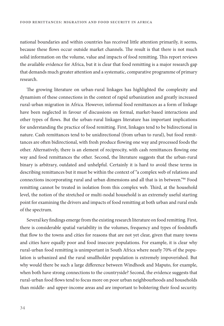national boundaries and within countries has received little attention primarily, it seems, because these flows occur outside market channels. The result is that there is not much solid information on the volume, value and impacts of food remitting. This report reviews the available evidence for Africa, but it is clear that food remitting is a major research gap that demands much greater attention and a systematic, comparative programme of primary research.

The growing literature on urban-rural linkages has highlighted the complexity and dynamism of these connections in the context of rapid urbanization and greatly increased rural-urban migration in Africa. However, informal food remittances as a form of linkage have been neglected in favour of discussions on formal, market-based interactions and other types of flows. But the urban-rural linkages literature has important implications for understanding the practice of food remitting. First, linkages tend to be bidirectional in nature. Cash remittances tend to be unidirectional (from urban to rural), but food remittances are often bidirectional, with fresh produce flowing one way and processed foods the other. Alternatively, there is an element of reciprocity, with cash remittances flowing one way and food remittances the other. Second, the literature suggests that the urban-rural binary is arbitrary, outdated and unhelpful. Certainly it is hard to avoid these terms in describing remittances but it must be within the context of "a complex web of relations and connections incorporating rural and urban dimensions and all that is in between."86 Food remitting cannot be treated in isolation from this complex web. Third, at the household level, the notion of the stretched or multi-nodal household is an extremely useful starting point for examining the drivers and impacts of food remitting at both urban and rural ends of the spectrum.

Several key findings emerge from the existing research literature on food remitting. First, there is considerable spatial variability in the volumes, frequency and types of foodstuffs that flow to the towns and cities for reasons that are not yet clear, given that many towns and cities have equally poor and food insecure populations. For example, it is clear why rural-urban food remitting is unimportant in South Africa where nearly 70% of the population is urbanized and the rural smallholder population is extremely impoverished. But why would there be such a large difference between Windhoek and Maputo, for example, when both have strong connections to the countryside? Second, the evidence suggests that rural-urban food flows tend to focus more on poor urban neighbourhoods and households than middle- and upper-income areas and are important to bolstering their food security.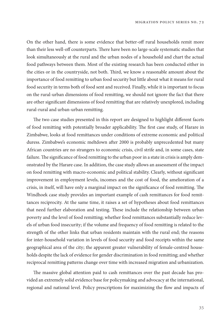On the other hand, there is some evidence that better-off rural households remit more than their less well-off counterparts. There have been no large-scale systematic studies that look simultaneously at the rural and the urban nodes of a household and chart the actual food pathways between them. Most of the existing research has been conducted either in the cities or in the countryside, not both. Third, we know a reasonable amount about the importance of food remitting to urban food security but little about what it means for rural food security in terms both of food sent and received. Finally, while it is important to focus on the rural-urban dimensions of food remitting, we should not ignore the fact that there are other significant dimensions of food remitting that are relatively unexplored, including rural-rural and urban-urban remitting.

The two case studies presented in this report are designed to highlight different facets of food remitting with potentially broader applicability. The first case study, of Harare in Zimbabwe, looks at food remittances under conditions of extreme economic and political duress. Zimbabwe's economic meltdown after 2000 is probably unprecedented but many African countries are no strangers to economic crisis, civil strife and, in some cases, state failure. The significance of food remitting to the urban poor in a state in crisis is amply demonstrated by the Harare case. In addition, the case study allows an assessment of the impact on food remitting with macro-economic and political stability. Clearly, without significant improvement in employment levels, incomes and the cost of food, the amelioration of a crisis, in itself, will have only a marginal impact on the significance of food remitting. The Windhoek case study provides an important example of cash remittances for food remittances reciprocity. At the same time, it raises a set of hypotheses about food remittances that need further elaboration and testing. These include the relationship between urban poverty and the level of food remitting; whether food remittances substantially reduce levels of urban food insecurity; if the volume and frequency of food remitting is related to the strength of the other links that urban residents maintain with the rural end; the reasons for inter-household variation in levels of food security and food receipts within the same geographical area of the city; the apparent greater vulnerability of female-centred households despite the lack of evidence for gender discrimination in food remitting; and whether reciprocal remitting patterns change over time with increased migration and urbanization.

The massive global attention paid to cash remittances over the past decade has provided an extremely solid evidence base for policymaking and advocacy at the international, regional and national level. Policy prescriptions for maximizing the flow and impacts of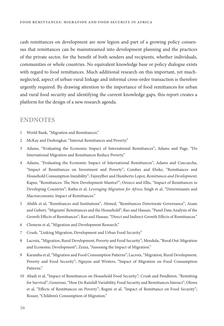cash remittances on development are now legion and part of a growing policy consensus that remittances can be mainstreamed into development planning and the practices of the private sector, for the benefit of both senders and recipients, whether individuals, communities or whole countries. No equivalent knowledge base or policy dialogue exists with regard to food remittances. Much additional research on this important, yet muchneglected, aspect of urban-rural linkage and informal cross-order transaction is therefore urgently required. By drawing attention to the importance of food remittances for urban and rural food security and identifying the current knowledge gaps, this report creates a platform for the design of a new research agenda.

#### **ENDNOTES**

- 1 World Bank, "Migration and Remittances."
- 2 McKay and Deshingkar, "Internal Remittances and Poverty."
- 3 Adams, "Evaluating the Economic Impact of International Remittances"; Adams and Page, "Do International Migration and Remittances Reduce Poverty."
- 4 Adams, "Evaluating the Economic Impact of International Remittances"; Adams and Cuecuecha, "Impact of Remittances on Investment and Poverty"; Combes and Ebeke, "Remittances and Household Consumption Instability"; Fajnzylber and Humberto Lopez, Remittances and Development; Kapur, "Remittances: The New Development Mantra?"; Orozco and Ellis, "Impact of Remittances in Developing Countries"; Ratha et al, Leveraging Migration for Africa; Singh et al, "Determinants and Macroeconomic Impact of Remittances."
- 5 Abdih et al, "Remittances and Institutions"; Ahmed, "Remittances Deteriorate Governance"; Azam and Gubert, "Migrants' Remittances and the Household"; Rao and Hassan, "Panel Data Analysis of the Growth Effects of Remittances"; Rao and Hassan, "Direct and Indirect Growth Effects of Remittances."
- 6 Clemens et al, "Migration and Development Research."
- 7 Crush, "Linking Migration, Development and Urban Food Security."
- 8 Lacroix, "Migration, Rural Development, Poverty and Food Security"; Mendola, "Rural Out-Migration and Economic Development"; Zezza, "Assessing the Impact of Migration."
- 9 Karamba et al, "Migration and Food Consumption Patterns"; Lacroix, "Migration, Rural Development, Poverty and Food Security"; Nguyen and Winters, "Impact of Migration on Food Consumption Patterns."
- 10 Abadi et al, "Impact of Remittances on Household Food Security"; Crush and Pendleton, "Remitting for Survival"; Generoso, "How Do Rainfall Variability, Food Security and Remittances Interact"; Olowa et al, "Effects of Remittances on Poverty"; Regmi et al, "Impact of Remittance on Food Security"; Rosser, "Children's Consumption of Migration."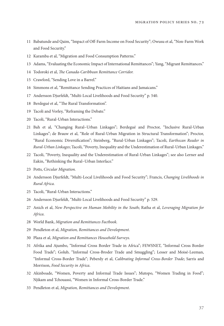- 11 Babatunde and Qaim, "Impact of Off-Farm Income on Food Security"; Owusu et al, "Non-Farm Work and Food Security."
- 12 Karamba et al, "Migration and Food Consumption Patterns."
- 13 Adams, "Evaluating the Economic Impact of International Remittances"; Yang, "Migrant Remittances."
- 14 Todoroki et al, The Canada-Caribbean Remittance Corridor.
- 15 Crawford, "Sending Love in a Barrel."
- 16 Simmons et al, "Remittance Sending Practices of Haitians and Jamaicans."
- 17 Andersson Djurfeldt, "Multi-Local Livelihoods and Food Security" p. 540.
- 18 Berdegué et al, "The Rural Transformation".
- 19 Tacoli and Vorley, "Reframing the Debate."
- 20 Tacoli, "Rural-Urban Interactions."
- 21 Bah et al, "Changing Rural–Urban Linkages"; Berdegué and Proctor, "Inclusive Rural-Urban Linkages"; de Brauw et al, "Role of Rural-Urban Migration in Structural Transformation"; Proctor, "Rural Economic Diversification"; Steinberg, "Rural-Urban Linkages"; Tacoli, Earthscan Reader in Rural-Urban Linkages; Tacoli, "Poverty, Inequality and the Underestimation of Rural-Urban Linkages."
- 22 Tacoli, "Poverty, Inequality and the Underestimation of Rural-Urban Linkages"; see also Lerner and Eakin, "Rethinking the Rural–Urban Interface."
- 23 Potts, Circular Migration.
- 24 Andersson Djurfeldt, "Multi-Local Livelihoods and Food Security"; Francis, Changing Livelihoods in Rural Africa.
- 25 Tacoli, "Rural-Urban Interactions."
- 26 Andersson Djurfeldt, "Multi-Local Livelihoods and Food Security" p. 529.
- 27 Anich et al, New Perspective on Human Mobility in the South; Ratha et al, Leveraging Migration for Africa.
- 28 World Bank, Migration and Remittances Factbook.
- 29 Pendleton et al, Migration, Remittances and Development.
- 30 Plaza et al, Migration and Remittances Household Surveys.
- 31 Afrika and Ajumbo, "Informal Cross Border Trade in Africa"; FEWSNET, "Informal Cross Border Food Trade"; Golub, "Informal Cross-Broder Trade and Smuggling"; Lesser and Moisé-Leeman, "Informal Cross-Border Trade"; Peberdy et al, Calibrating Informal Cross-Border Trade; Sarris and Morrison, Food Security in Africa.
- 32 Akinboade, "Women, Poverty and Informal Trade Issues"; Mutopo, "Women Trading in Food"; Njikam and Tchouassi, "Women in Informal Cross-Border Trade."
- 33 Pendleton et al, Migration, Remittances and Development.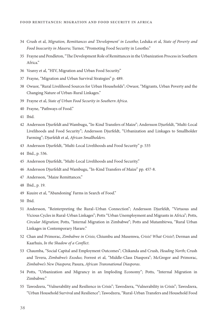- 34 Crush et al, Migration, Remittances and 'Development' in Lesotho; Leduka et al, State of Poverty and Food Insecurity in Maseru; Turner, "Promoting Food Security in Lesotho."
- 35 Frayne and Pendleton, "The Development Role of Remittances in the Urbanization Process in Southern Africa."
- 36 Vearey et al, "HIV, Migration and Urban Food Security."
- 37 Frayne, "Migration and Urban Survival Strategies" p. 489.
- 38 Owuor, "Rural Livelihood Sources for Urban Households"; Owuor, "Migrants, Urban Poverty and the Changing Nature of Urban-Rural Linkages."
- 39 Frayne et al, State of Urban Food Security in Southern Africa.
- 40 Frayne, "Pathways of Food."
- 41 Ibid.
- 42 Andersson Djurfeldt and Wambugu, "In-Kind Transfers of Maize"; Andersson Djurfeldt, "Multi-Local Livelihoods and Food Security"; Andersson Djurfeldt, "Urbanization and Linkages to Smallholder Farming"; Djurfeldt et al, African Smallholders.
- 43 Andersson Djurfeldt, "Multi-Local Livelihoods and Food Security" p. 535
- 44 Ibid., p. 536.
- 45 Andersson Djurfeldt, "Multi-Local Livelihoods and Food Security."
- 46 Andersson Djurfeldt and Wambugu, "In-Kind Transfers of Maize" pp. 457-8.
- 47 Andersson, "Maize Remittances."
- 48 Ibid., p. 19.
- 49 Kuuire et al, "'Abandoning' Farms in Search of Food."
- 50 Ibid.
- 51 Andersson, "Reinterpreting the Rural–Urban Connection"; Andersson Djurfeldt, "Virtuous and Vicious Cycles in Rural-Urban Linkages"; Potts "Urban Unemployment and Migrants in Africa"; Potts, Circular Migration; Potts, "Internal Migration in Zimbabwe"; Potts and Mutambirwa, "Rural Urban Linkages in Contemporary Harare."
- 52 Chan and Primorac, Zimbabwe in Crisis; Chiumbu and Musemwa, Crisis! What Crisis?; Derman and Kaarhuis, In the Shadow of a Conflict.
- 53 Chaumba, "Social Capital and Employment Outcomes"; Chikanda and Crush, Heading North; Crush and Tevera, Zimbabwe's Exodus; Forrest et al, "Middle-Class Diaspora"; McGregor and Primorac, Zimbabwe's New Diaspora; Pasura, African Transnational Diasporas.
- 54 Potts, "Urbanization and Migrancy in an Imploding Economy"; Potts, "Internal Migration in Zimbabwe."
- 55 Tawodzera, "Vulnerability and Resilience in Crisis"; Tawodzera, "Vulnerability in Crisis"; Tawodzera, "Urban Household Survival and Resilience"; Tawodzera, "Rural-Urban Transfers and Household Food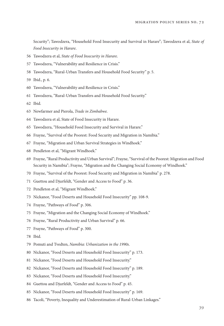Security"; Tawodzera, "Household Food Insecurity and Survival in Harare"; Tawodzera et al, State of Food Insecurity in Harare.

- 56 Tawodzera et al, State of Food Insecurity in Harare.
- 57 Tawodzera, "Vulnerability and Resilience in Crisis."
- 58 Tawodzera, "Rural-Urban Transfers and Household Food Security" p. 5.
- 59 Ibid., p. 6.
- 60 Tawodzera, "Vulnerability and Resilience in Crisis."
- 61 Tawodzera, "Rural-Urban Transfers and Household Food Security."
- 62 Ibid.
- 63 Newfarmer and Pierola, Trade in Zimbabwe.
- 64 Tawodzera et al, State of Food Insecurity in Harare.
- 65 Tawodzera, "Household Food Insecurity and Survival in Harare."
- 66 Frayne, "Survival of the Poorest: Food Security and Migration in Namibia."
- 67 Frayne, "Migration and Urban Survival Strategies in Windhoek."
- 68 Pendleton et al, "Migrant Windhoek."
- 69 Frayne, "Rural Productivity and Urban Survival"; Frayne, "Survival of the Poorest: Migration and Food Security in Namibia"; Frayne, "Migration and the Changing Social Economy of Windhoek."
- 70 Frayne, "Survival of the Poorest: Food Security and Migration in Namibia" p. 278.
- 71 Guettou and Djurfeldt, "Gender and Access to Food" p. 36.
- 72 Pendleton et al, "Migrant Windhoek."
- 73 Nickanor, "Food Deserts and Household Food Insecurity" pp. 108-9.
- 74 Frayne, "Pathways of Food" p. 306.
- 75 Frayne, "Migration and the Changing Social Economy of Windhoek."
- 76 Frayne, "Rural Productivity and Urban Survival" p. 66.
- 77 Frayne, "Pathways of Food" p. 300.
- 78 Ibid.
- 79 Pomuti and Tvedten, Namibia: Urbanization in the 1990s.
- 80 Nickanor, "Food Deserts and Household Food Insecurity" p. 173.
- 81 Nickanor, "Food Deserts and Household Food Insecurity."
- 82 Nickanor, "Food Deserts and Household Food Insecurity" p. 189.
- 83 Nickanor, "Food Deserts and Household Food Insecurity."
- 84 Guettou and Djurfeldt, "Gender and Access to Food" p. 45.
- 85 Nickanor, "Food Deserts and Household Food Insecurity" p. 169.
- 86 Tacoli, "Poverty, Inequality and Underestimation of Rural-Urban Linkages."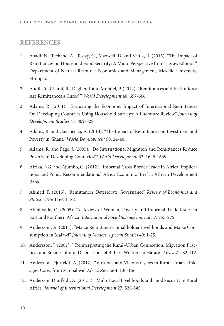# **REFERENCES**

- 1. Abadi, N., Techane, A., Tesfay, G., Maxwell, D. and Vaitla, B. (2013). "The Impact of Remittances on Household Food Security: A Micro Perspective from Tigray, Ethiopia" Department of Natural Resource Economics and Management, Mekelle University, Ethiopia.
- 2. Abdih, Y., Chami, R., Dagher, J. and Montiel, P. (2012). "Remittances and Institutions: Are Remittances a Curse?" World Development 40: 657-666.
- 3. Adams, R. (2011). "Evaluating the Economic Impact of International Remittances On Developing Countries Using Household Surveys: A Literature Review" Journal of Development Studies 47: 809-828.
- 4. Adams, R. and Cuecuecha, A. (2013). "The Impact of Remittances on Investment and Poverty in Ghana" World Development 50: 24-40.
- 5. Adams, R. and Page, J. (2005). "Do International Migration and Remittances Reduce Poverty in Developing Countries?" World Development 33: 1645-1669.
- 6. Afrika, J-G. and Ajumbo, G. (2012). "Informal Cross Border Trade in Africa: Implications and Policy Recommendations" Africa Economic Brief 3, African Development Bank.
- 7. Ahmed, F. (2013). "Remittances Deteriorate Governance" Review of Economics and Statistics 95: 1166-1182.
- 8. Akinboade, O. (2005). "A Review of Women, Poverty and Informal Trade Issues in East and Southern Africa" International Social Science Journal 57: 255-275.
- 9. Andersson, A. (2011). "Maize Remittances, Smallholder Livelihoods and Maize Consumption in Malawi" Journal of Modern African Studies 49: 1-25.
- 10. Andersson, J. (2001). " Reinterpreting the Rural–Urban Connection: Migration Practices and Socio-Cultural Dispositions of Buhera Workers in Harare" Africa 71: 82-112.
- 11. Andersson Djurfeldt, A. (2012). "Virtuous and Vicious Cycles in Rural-Urban Linkages: Cases from Zimbabwe" Africa Review 4: 136-156.
- 12. Andersson Djurfeldt, A. (2015a). "Multi-Local Livelihoods and Food Security in Rural Africa" Journal of International Development 27: 528-545.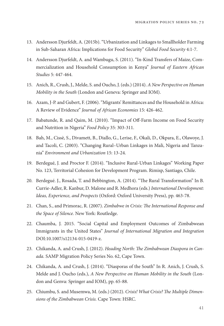- 13. Andersson Djurfeldt, A. (2015b). "Urbanization and Linkages to Smallholder Farming in Sub-Saharan Africa: Implications for Food Security" Global Food Security 4:1-7.
- 14. Andersson Djurfeldt, A. and Wambugu, S. (2011). "In-Kind Transfers of Maize, Commercialization and Household Consumption in Kenya" Journal of Eastern African Studies 5: 447-464.
- 15. Anich, R., Crush, J., Melde, S. and Oucho, J. (eds.) (2014). A New Perspective on Human Mobility in the South (London and Geneva: Springer and IOM).
- 16. Azam, J-P. and Gubert, F. (2006). "Migrants' Remittances and the Household in Africa: A Review of Evidence" Journal of African Economies 15: 426-462.
- 17. Babatunde, R. and Qaim, M. (2010). "Impact of Off-Farm Income on Food Security and Nutrition in Nigeria" Food Policy 35: 303-311.
- 18. Bah, M., Cissè, S., Divamett, B., Diallo, G., Lerise, F., Okali, D., Okpara, E., Olawoye, J. and Tacoli, C. (2003). "Changing Rural–Urban Linkages in Mali, Nigeria and Tanzania" Environment and Urbanization 15: 13-24.
- 19. Berdegué, J. and Proctor F. (2014). "Inclusive Rural-Urban Linkages" Working Paper No. 123, Territorial Cohesion for Development Program. Rimisp, Santiago, Chile.
- 20. Berdegué. J., Rosada, T. and Bebbington, A. (2014). "The Rural Transformation" In B. Currie-Adler, R. Kanbur, D. Malone and R. Medhora (eds.) International Development: Ideas, Experience, and Prospects (Oxford: Oxford University Press), pp. 463-78.
- 21. Chan, S., and Primorac, R. (2007). Zimbabwe in Crisis: The International Response and the Space of Silence. New York: Routledge.
- 22. Chaumba, J. 2015. "Social Capital and Employment Outcomes of Zimbabwean Immigrants in the United States" Journal of International Migration and Integration DOI:10.1007/s12134-015-0419-z.
- 23. Chikanda, A. and Crush, J. (2012). Heading North: The Zimbabwean Diaspora in Canada. SAMP Migration Policy Series No. 62, Cape Town.
- 24. Chikanda, A. and Crush, J. (2014). "Diasporas of the South" In R. Anich, J. Crush, S. Melde and J. Oucho (eds.), A New Perspective on Human Mobility in the South (London and Genva: Springer and IOM), pp. 65-88.
- 25. Chiumbu, S. and Musemwa, M. (eds.) (2012). Crisis! What Crisis? The Multiple Dimensions of the Zimbabwean Crisis. Cape Town: HSRC.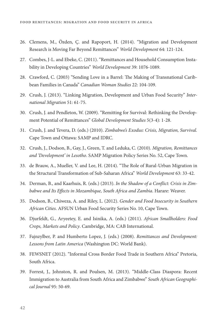- 26. Clemens, M., Özden, Ç. and Rapoport, H. (2014). "Migration and Development Research is Moving Far Beyond Remittances" World Development 64: 121-124.
- 27. Combes, J-L. and Ebeke, C. (2011). "Remittances and Household Consumption Instability in Developing Countries" World Development 39: 1076-1089.
- 28. Crawford, C. (2003) "Sending Love in a Barrel: The Making of Transnational Caribbean Families in Canada" Canadian Woman Studies 22: 104-109.
- 29. Crush, J. (2013). "Linking Migration, Development and Urban Food Security" International Migration 51: 61-75.
- 30. Crush, J. and Pendleton, W. (2009). "Remitting for Survival: Rethinking the Development Potential of Remittances" Global Development Studies 5(3-4): 1-28.
- 31. Crush, J. and Tevera, D. (eds.) (2010). Zimbabwe's Exodus: Crisis, Migration, Survival. Cape Town and Ottawa: SAMP and IDRC.
- 32. Crush, J., Dodson, B., Gay, J., Green, T. and Leduka, C. (2010). Migration, Remittances and 'Development' in Lesotho. SAMP Migration Policy Series No. 52, Cape Town.
- 33. de Brauw, A., Mueller, V. and Lee, H. (2014). "The Role of Rural-Urban Migration in the Structural Transformation of Sub-Saharan Africa" World Development 63: 33-42.
- 34. Derman, B., and Kaarhuis, R. (eds.) (2013). In the Shadow of a Conflict: Crisis in Zimbabwe and Its Effects in Mozambique, South Africa and Zambia. Harare: Weaver.
- 35. Dodson, B., Chiweza, A. and Riley, L. (2012). Gender and Food Insecurity in Southern African Cities. AFSUN Urban Food Security Series No. 10, Cape Town.
- 36. Djurfeldt, G., Aryeetey, E. and Isinika, A. (eds.) (2011). African Smallholders: Food Crops, Markets and Policy. Cambridge, MA: CAB International.
- 37. Fajnzylber, P. and Humberto Lopez, J. (eds.) (2008). Remittances and Development: Lessons from Latin America (Washington DC: World Bank).
- 38. FEWSNET (2012). "Informal Cross Border Food Trade in Southern Africa" Pretoria, South Africa.
- 39. Forrest, J., Johnston, R. and Poulsen, M. (2013). "Middle-Class Diaspora: Recent Immigration to Australia from South Africa and Zimbabwe" South African Geographical Journal 95: 50-69.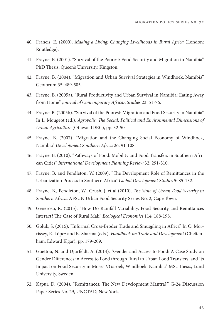- 40. Francis, E. (2000). Making a Living: Changing Livelihoods in Rural Africa (London: Routledge).
- 41. Frayne, B. (2001). "Survival of the Poorest: Food Security and Migration in Namibia" PhD Thesis, Queen's University, Kingston.
- 42. Frayne, B. (2004). "Migration and Urban Survival Strategies in Windhoek, Namibia" Geoforum 35: 489-505.
- 43. Frayne, B. (2005a). "Rural Productivity and Urban Survival in Namibia: Eating Away from Home" Journal of Contemporary African Studies 23: 51-76.
- 44. Frayne, B. (2005b). "Survival of the Poorest: Migration and Food Security in Namibia" In L. Mougeot (ed.), Agropolis: The Social, Political and Environmental Dimensions of Urban Agriculture (Ottawa: IDRC), pp. 32-50.
- 45. Frayne, B. (2007). "Migration and the Changing Social Economy of Windhoek, Namibia" Development Southern Africa 26: 91-108.
- 46. Frayne, B. (2010). "Pathways of Food: Mobility and Food Transfers in Southern African Cities" International Development Planning Review 32: 291-310.
- 47. Frayne, B. and Pendleton, W. (2009). "The Development Role of Remittances in the Urbanization Process in Southern Africa" Global Development Studies 5: 85-132.
- 48. Frayne, B., Pendleton, W., Crush, J. et al (2010). The State of Urban Food Security in Southern Africa. AFSUN Urban Food Security Series No. 2, Cape Town.
- 49. Generoso, R. (2015). "How Do Rainfall Variability, Food Security and Remittances Interact? The Case of Rural Mali" Ecological Economics 114: 188-198.
- 50. Golub, S. (2015). "Informal Cross-Broder Trade and Smuggling in Africa" In O. Morrissey, R. López and K. Sharma (eds.), Handbook on Trade and Development (Cheltenham: Edward Elgar), pp. 179-209.
- 51. Guettou, N. and Djurfeldt, A. (2014). "Gender and Access to Food: A Case Study on Gender Differences in Access to Food through Rural to Urban Food Transfers, and Its Impact on Food Security in Moses //Garoëb, Windhoek, Namibia" MSc Thesis, Lund University, Sweden.
- 52. Kapur, D. (2004). "Remittances: The New Development Mantra?" G-24 Discussion Paper Series No. 29, UNCTAD, New York.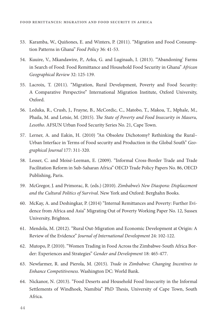- 53. Karamba, W., Quiñones, E. and Winters, P. (2011). "Migration and Food Consumption Patterns in Ghana" Food Policy 36: 41-53.
- 54. Kuuire, V., Mkandawire, P., Arku, G. and Luginaah, I. (2013). "'Abandoning' Farms in Search of Food: Food Remittance and Household Food Security in Ghana" African Geographical Review 32: 125-139.
- 55. Lacroix, T. (2011). "Migration, Rural Development, Poverty and Food Security: A Comparative Perspective" International Migration Institute, Oxford University, Oxford.
- 56. Leduka, R., Crush, J., Frayne, B., McCordic, C., Matobo, T., Makoa, T., Mphale, M., Phaila, M. and Letsie, M. (2015). The State of Poverty and Food Insecurity in Maseru, Lesotho. AFSUN Urban Food Security Series No. 21, Cape Town.
- 57. Lerner, A. and Eakin, H. (2010) "An Obsolete Dichotomy? Rethinking the Rural– Urban Interface in Terms of Food security and Production in the Global South" Geographical Journal 177: 311-320.
- 58. Lesser, C. and Moisé-Leeman, E. (2009). "Informal Cross-Border Trade and Trade Facilitation Reform in Sub-Saharan Africa" OECD Trade Policy Papers No. 86, OECD Publishing, Paris.
- 59. McGregor, J. and Primorac, R. (eds.) (2010). Zimbabwe's New Diaspora: Displacement and the Cultural Politics of Survival. New York and Oxford: Berghahn Books.
- 60. McKay, A. and Deshingkar, P. (2014) "Internal Remittances and Poverty: Further Evidence from Africa and Asia" Migrating Out of Poverty Working Paper No. 12, Sussex University, Brighton.
- 61. Mendola, M. (2012). "Rural Out-Migration and Economic Development at Origin: A Review of the Evidence" Journal of International Development 24: 102-122.
- 62. Mutopo, P. (2010). "Women Trading in Food Across the Zimbabwe-South Africa Border: Experiences and Strategies" Gender and Development 18: 465-477.
- 63. Newfarmer, R. and Pierola, M. (2015). Trade in Zimbabwe: Changing Incentives to Enhance Competitiveness. Washington DC: World Bank.
- 64. Nickanor, N. (2013). "Food Deserts and Household Food Insecurity in the Informal Settlements of Windhoek, Namibia" PhD Thesis, University of Cape Town, South Africa.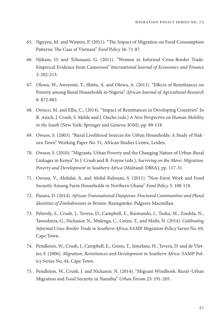- 65. Nguyen, M. and Winters, P. (2011). "The Impact of Migration on Food Consumption Patterns: The Case of Vietnam" Food Policy 36: 71-87.
- 66. Njikam, O. and Tchouassi, G. (2011). "Women in Informal Cross-Border Trade: Empirical Evidence from Cameroon" International Journal of Economics and Finance 3: 202-213.
- 67. Olowa, W., Awoyemi, T., Shittu, A. and Olowa, A. (2013). "Effects of Remittances on Poverty among Rural Households in Nigeria" African Journal of Agricultural Research 8: 872-883.
- 68. Orozco, M. and Ellis, C., (2014). "Impact of Remittances in Developing Countries" In R. Anich, J. Crush, S. Melde and J. Oucho (eds.) A New Perspective on Human Mobility in the South (New York: Springer and Geneva: IOM), pp. 89-118.
- 69. Owuor, S. (2003). "Rural Livelihood Sources for Urban Households: A Study of Nakuru Town" Working Paper No. 51, African Studies Centre, Leiden.
- 70. Owuor, S. (2010). "Migrants, Urban Poverty and the Changing Nature of Urban-Rural Linkages in Kenya" In J. Crush and B. Frayne (eds.), Surviving on the Move: Migration, Poverty and Development in Southern Africa (Midrand: DBSA), pp. 117-31.
- 71. Owusu, V., Abdulai, A. and Abdul-Rahman, S. (2011). "Non-Farm Work and Food Security Among Farm Households in Northern Ghana" Food Policy 3: 108-118.
- 72. Pasura, D. (2014). African Transnational Diasporas: Fractured Communities and Plural Identities of Zimbabweans in Britain. Basingstoke: Palgrave Macmillan.
- 73. Peberdy, S., Crush, J., Tevera, D., Campbell, E., Raimundo, I., Tsoka, M., Zindela, N., Tawodzera, G., Nickanor, N., Mulenga, C., Green, T., and Msibi, N. (2014). Calibrating Informal Cross-Border Trade in Southern Africa, SAMP Migration Policy Series No. 69, Cape Town.
- 74. Pendleton, W., Crush, J., Campbell, E., Green, T., Simelane, H., Tevera, D. and de Vletter, F. (2006). Migration, Remittances and Development in Southern Africa. SAMP Policy Series No, 44, Cape Town.
- 75. Pendleton, W., Crush, J. and Nickanor, N. (2014). "Migrant Windhoek: Rural–Urban Migration and Food Security in Namibia" Urban Forum 25: 191-205.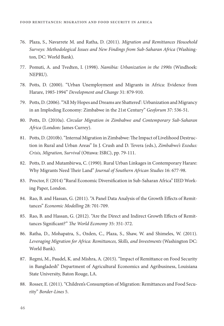- 76. Plaza, S., Navarrete M. and Ratha, D. (2011). Migration and Remittances Household Surveys: Methodological Issues and New Findings from Sub-Saharan Africa (Washington, DC: World Bank).
- 77. Pomuti, A. and Tvedten, I. (1998). Namibia: Urbanization in the 1990s (Windhoek: NEPRU).
- 78. Potts, D. (2000). "Urban Unemployment and Migrants in Africa: Evidence from Harare, 1985-1994" Development and Change 31: 879-910.
- 79. Potts, D. (2006). "'All My Hopes and Dreams are Shattered': Urbanization and Migrancy in an Imploding Economy: Zimbabwe in the 21st Century" Geoforum 37: 536-51.
- 80. Potts, D. (2010a). Circular Migration in Zimbabwe and Contemporary Sub-Saharan Africa (London: James Currey).
- 81. Potts, D. (2010b). "Internal Migration in Zimbabwe: The Impact of Livelihood Destruction in Rural and Urban Areas" In J. Crush and D. Tevera (eds.), Zimbabwe's Exodus: Crisis, Migration, Survival (Ottawa: ISRC), pp. 79-111.
- 82. Potts, D. and Mutambirwa, C. (1990). Rural Urban Linkages in Contemporary Harare: Why Migrants Need Their Land" Journal of Southern African Studies 16: 677-98.
- 83. Proctor, F. (2014) "Rural Economic Diversification in Sub-Saharan Africa" IIED Working Paper, London.
- 84. Rao, B. and Hassan, G. (2011). "A Panel Data Analysis of the Growth Effects of Remittances" Economic Modelling 28: 701-709.
- 85. Rao, B. and Hassan, G. (2012). "Are the Direct and Indirect Growth Effects of Remittances Significant?" The World Economy 35: 351-372.
- 86. Ratha, D., Mohapatra, S., Ozden, C., Plaza, S., Shaw, W. and Shimeles, W. (2011). Leveraging Migration for Africa: Remittances, Skills, and Investments (Washington DC: World Bank).
- 87. Regmi, M., Paudel, K. and Mishra, A. (2015). "Impact of Remittance on Food Security in Bangladesh" Department of Agricultural Economics and Agribusiness, Louisiana State University, Baton Rouge, LA.
- 88. Rosser, E. (2011). "Children's Consumption of Migration: Remittances and Food Security" Border-Lines 5.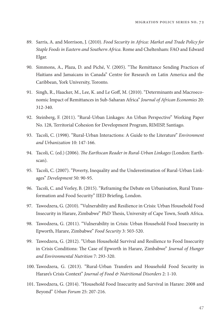- 89. Sarris, A. and Morrison, J. (2010). Food Security in Africa: Market and Trade Policy for Staple Foods in Eastern and Southern Africa. Rome and Cheltenham: FAO and Edward Elgar.
- 90. Simmons, A., Plaza, D. and Piché, V. (2005). "The Remittance Sending Practices of Haitians and Jamaicans in Canada" Centre for Research on Latin America and the Caribbean, York University, Toronto.
- 91. Singh, R., Haacker, M., Lee, K. and Le Goff, M. (2010). "Determinants and Macroeconomic Impact of Remittances in Sub-Saharan Africa" Journal of African Economies 20: 312-340.
- 92. Steinberg, F. (2011). "Rural-Urban Linkages: An Urban Perspective" Working Paper No. 128, Territorial Cohesion for Development Program, RIMISP, Santiago.
- 93. Tacoli, C. (1998). "Rural-Urban Interactions: A Guide to the Literature" Environment and Urbanization 10: 147-166.
- 94. Tacoli, C. (ed.) (2006). The Earthscan Reader in Rural-Urban Linkages (London: Earthscan).
- 95. Tacoli, C. (2007). "Poverty, Inequality and the Underestimation of Rural-Urban Linkages" Development 50: 90-95.
- 96. Tacoli, C. and Vorley, B. (2015). "Reframing the Debate on Urbanisation, Rural Transformation and Food Security" IIED Briefing, London.
- 97. Tawodzera, G. (2010). "Vulnerability and Resilience in Crisis: Urban Household Food Insecurity in Harare, Zimbabwe" PhD Thesis, University of Cape Town, South Africa.
- 98. Tawodzera, G. (2011). "Vulnerability in Crisis: Urban Household Food Insecurity in Epworth, Harare, Zimbabwe" Food Security 3: 503-520.
- 99. Tawodzera, G. (2012). "Urban Household Survival and Resilience to Food Insecurity in Crisis Conditions: The Case of Epworth in Harare, Zimbabwe" Journal of Hunger and Environmental Nutrition 7: 293-320.
- 100. Tawodzera, G. (2013). "Rural-Urban Transfers and Household Food Security in Harare's Crisis Context" Journal of Food & Nutritional Disorders 2: 1-10.
- 101. Tawodzera, G. (2014). "Household Food Insecurity and Survival in Harare: 2008 and Beyond" Urban Forum 25: 207-216.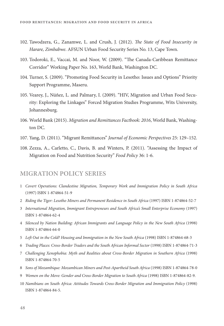- 102. Tawodzera, G., Zanamwe, L. and Crush, J. (2012). The State of Food Insecurity in Harare, Zimbabwe. AFSUN Urban Food Security Series No. 13, Cape Town.
- 103. Todoroki, E., Vaccai, M. and Noor, W. (2009). "The Canada-Caribbean Remittance Corridor" Working Paper No. 163, World Bank, Washington DC.
- 104. Turner, S. (2009). "Promoting Food Security in Lesotho: Issues and Options" Priority Support Programme, Maseru.
- 105. Vearey, J., Núñez, L. and Palmary, I. (2009). "HIV, Migration and Urban Food Security: Exploring the Linkages" Forced Migration Studies Programme, Wits University, Johannesburg.
- 106. World Bank (2015). Migration and Remittances Factbook: 2016, World Bank, Washington DC.
- 107. Yang, D. (2011). "Migrant Remittances" Journal of Economic Perspectives 25: 129–152.
- 108. Zezza, A., Carletto, C., Davis, B. and Winters, P. (2011). "Assessing the Impact of Migration on Food and Nutrition Security" Food Policy 36: 1-6.

#### **MIGRATION POLICY SERIES**

- 1 Covert Operations: Clandestine Migration, Temporary Work and Immigration Policy in South Africa (1997) ISBN 1-874864-51-9
- 2 Riding the Tiger: Lesotho Miners and Permanent Residence in South Africa (1997) ISBN 1-874864-52-7
- 3 International Migration, Immigrant Entrepreneurs and South Africa's Small Enterprise Economy (1997) ISBN 1-874864-62-4
- 4 Silenced by Nation Building: African Immigrants and Language Policy in the New South Africa (1998) ISBN 1-874864-64-0
- 5 Left Out in the Cold? Housing and Immigration in the New South Africa (1998) ISBN 1-874864-68-3
- 6 Trading Places: Cross-Border Traders and the South African Informal Sector (1998) ISBN 1-874864-71-3
- 7 Challenging Xenophobia: Myth and Realities about Cross-Border Migration in Southern Africa (1998) ISBN 1-874864-70-5
- 8 Sons of Mozambique: Mozambican Miners and Post-Apartheid South Africa (1998) ISBN 1-874864-78-0
- 9 Women on the Move: Gender and Cross-Border Migration to South Africa (1998) ISBN 1-874864-82-9.
- 10 Namibians on South Africa: Attitudes Towards Cross-Border Migration and Immigration Policy (1998) ISBN 1-874864-84-5.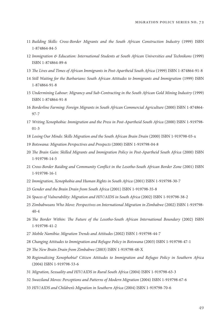- 11 Building Skills: Cross-Border Migrants and the South African Construction Industry (1999) ISBN 1-874864-84-5
- 12 Immigration & Education: International Students at South African Universities and Technikons (1999) ISBN 1-874864-89-6
- 13 The Lives and Times of African Immigrants in Post-Apartheid South Africa (1999) ISBN 1-874864-91-8
- 14 Still Waiting for the Barbarians: South African Attitudes to Immigrants and Immigration (1999) ISBN 1-874864-91-8
- 15 Undermining Labour: Migrancy and Sub-Contracting in the South African Gold Mining Industry (1999) ISBN 1-874864-91-8
- 16 Borderline Farming: Foreign Migrants in South African Commercial Agriculture (2000) ISBN 1-874864- 97-7
- 17 Writing Xenophobia: Immigration and the Press in Post-Apartheid South Africa (2000) ISBN 1-919798- 01-3
- 18 Losing Our Minds: Skills Migration and the South African Brain Drain (2000) ISBN 1-919798-03-x
- 19 Botswana: Migration Perspectives and Prospects (2000) ISBN 1-919798-04-8
- 20 The Brain Gain: Skilled Migrants and Immigration Policy in Post-Apartheid South Africa (2000) ISBN 1-919798-14-5
- 21 Cross-Border Raiding and Community Conflict in the Lesotho-South African Border Zone (2001) ISBN 1-919798-16-1
- 22 Immigration, Xenophobia and Human Rights in South Africa (2001) ISBN 1-919798-30-7
- 23 Gender and the Brain Drain from South Africa (2001) ISBN 1-919798-35-8
- 24 Spaces of Vulnerability: Migration and HIV/AIDS in South Africa (2002) ISBN 1-919798-38-2
- 25 Zimbabweans Who Move: Perspectives on International Migration in Zimbabwe (2002) ISBN 1-919798- 40-4
- 26 The Border Within: The Future of the Lesotho-South African International Boundary (2002) ISBN 1-919798-41-2
- 27 Mobile Namibia: Migration Trends and Attitudes (2002) ISBN 1-919798-44-7
- 28 Changing Attitudes to Immigration and Refugee Policy in Botswana (2003) ISBN 1-919798-47-1
- 29 The New Brain Drain from Zimbabwe (2003) ISBN 1-919798-48-X
- 30 Regionalizing Xenophobia? Citizen Attitudes to Immigration and Refugee Policy in Southern Africa (2004) ISBN 1-919798-53-6
- 31 Migration, Sexuality and HIV/AIDS in Rural South Africa (2004) ISBN 1-919798-63-3
- 32 Swaziland Moves: Perceptions and Patterns of Modern Migration (2004) ISBN 1-919798-67-6
- 33 HIV/AIDS and Children's Migration in Southern Africa (2004) ISBN 1-919798-70-6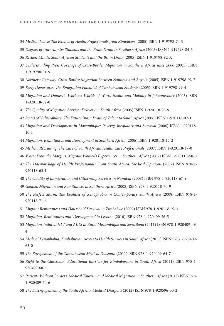- 34 Medical Leave: The Exodus of Health Professionals from Zimbabwe (2005) ISBN 1-919798-74-9
- 35 Degrees of Uncertainty: Students and the Brain Drain in Southern Africa (2005) ISBN 1-919798-84-6
- 36 Restless Minds: South African Students and the Brain Drain (2005) ISBN 1-919798-82-X
- 37 Understanding Press Coverage of Cross-Border Migration in Southern Africa since 2000 (2005) ISBN 1-919798-91-9
- 38 Northern Gateway: Cross-Border Migration Between Namibia and Angola (2005) ISBN 1-919798-92-7
- 39 Early Departures: The Emigration Potential of Zimbabwean Students (2005) ISBN 1-919798-99-4
- 40 Migration and Domestic Workers: Worlds of Work, Health and Mobility in Johannesburg (2005) ISBN 1-920118-02-0
- 41 The Quality of Migration Services Delivery in South Africa (2005) ISBN 1-920118-03-9
- 42 States of Vulnerability: The Future Brain Drain of Talent to South Africa (2006) ISBN 1-920118-07-1
- 43 Migration and Development in Mozambique: Poverty, Inequality and Survival (2006) ISBN 1-920118- 10-1
- 44 Migration, Remittances and Development in Southern Africa (2006) ISBN 1-920118-15-2
- 45 Medical Recruiting: The Case of South African Health Care Professionals (2007) ISBN 1-920118-47-0
- 46 Voices From the Margins: Migrant Women's Experiences in Southern Africa (2007) ISBN 1-920118-50-0
- 47 The Haemorrhage of Health Professionals From South Africa: Medical Opinions (2007) ISBN 978-1-920118-63-1
- 48 The Quality of Immigration and Citizenship Services in Namibia (2008) ISBN 978-1-920118-67-9
- 49 Gender, Migration and Remittances in Southern Africa (2008) ISBN 978-1-920118-70-9
- 50 The Perfect Storm: The Realities of Xenophobia in Contemporary South Africa (2008) ISBN 978-1-920118-71-6
- 51 Migrant Remittances and Household Survival in Zimbabwe (2009) ISBN 978-1-920118-92-1
- 52 Migration, Remittances and 'Development' in Lesotho (2010) ISBN 978-1-920409-26-5
- 53 Migration-Induced HIV and AIDS in Rural Mozambique and Swaziland (2011) ISBN 978-1-920409-49- 4
- 54 Medical Xenophobia: Zimbabwean Access to Health Services in South Africa (2011) ISBN 978-1-920409- 63-0
- 55 The Engagement of the Zimbabwean Medical Diaspora (2011) ISBN 978-1-920409-64-7
- 56 Right to the Classroom: Educational Barriers for Zimbabweans in South Africa (2011) ISBN 978-1- 920409-68-5
- 57 Patients Without Borders: Medical Tourism and Medical Migration in Southern Africa (2012) ISBN 978- 1-920409-74-6
- 58 The Disengagement of the South African Medical Diaspora (2012) ISBN 978-1-920596-00-2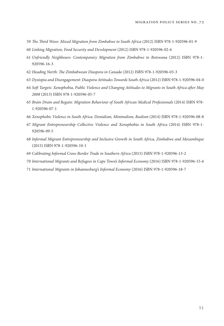- 59 The Third Wave: Mixed Migration from Zimbabwe to South Africa (2012) ISBN 978-1-920596-01-9
- 60 Linking Migration, Food Security and Development (2012) ISBN 978-1-920596-02-6
- 61 Unfriendly Neighbours: Contemporary Migration from Zimbabwe to Botswana (2012) ISBN 978-1- 920596-16-3
- 62 Heading North: The Zimbabwean Diaspora in Canada (2012) ISBN 978-1-920596-03-3
- 63 Dystopia and Disengagement: Diaspora Attitudes Towards South Africa (2012) ISBN 978-1-920596-04-0
- 64 Soft Targets: Xenophobia, Public Violence and Changing Attitudes to Migrants in South Africa after May 2008 (2013) ISBN 978-1-920596-05-7
- 65 Brain Drain and Regain: Migration Behaviour of South African Medical Professionals (2014) ISBN 978- 1-920596-07-1
- 66 Xenophobic Violence in South Africa: Denialism, Minimalism, Realism (2014) ISBN 978-1-920596-08-8
- 67 Migrant Entrepreneurship Collective Violence and Xenophobia in South Africa (2014) ISBN 978-1- 920596-09-5
- 68 Informal Migrant Entrepreneurship and Inclusive Growth in South Africa, Zimbabwe and Mozambique (2015) ISBN 978-1-920596-10-1
- 69 Calibrating Informal Cross-Border Trade in Southern Africa (2015) ISBN 978-1-920596-13-2
- 70 International Migrants and Refugees in Cape Town's Informal Economy (2016) ISBN 978-1-920596-15-6
- 71 International Migrants in Johannesburg's Informal Economy (2016) ISBN 978-1-920596-18-7